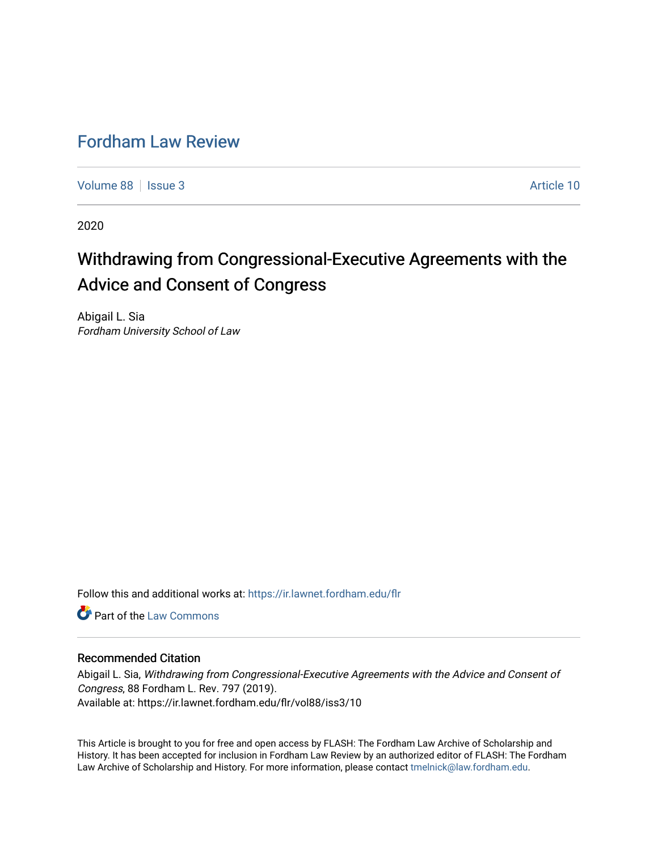# [Fordham Law Review](https://ir.lawnet.fordham.edu/flr)

[Volume 88](https://ir.lawnet.fordham.edu/flr/vol88) | [Issue 3](https://ir.lawnet.fordham.edu/flr/vol88/iss3) Article 10

2020

# Withdrawing from Congressional-Executive Agreements with the Advice and Consent of Congress

Abigail L. Sia Fordham University School of Law

Follow this and additional works at: [https://ir.lawnet.fordham.edu/flr](https://ir.lawnet.fordham.edu/flr?utm_source=ir.lawnet.fordham.edu%2Fflr%2Fvol88%2Fiss3%2F10&utm_medium=PDF&utm_campaign=PDFCoverPages)

**C** Part of the [Law Commons](http://network.bepress.com/hgg/discipline/578?utm_source=ir.lawnet.fordham.edu%2Fflr%2Fvol88%2Fiss3%2F10&utm_medium=PDF&utm_campaign=PDFCoverPages)

# Recommended Citation

Abigail L. Sia, Withdrawing from Congressional-Executive Agreements with the Advice and Consent of Congress, 88 Fordham L. Rev. 797 (2019). Available at: https://ir.lawnet.fordham.edu/flr/vol88/iss3/10

This Article is brought to you for free and open access by FLASH: The Fordham Law Archive of Scholarship and History. It has been accepted for inclusion in Fordham Law Review by an authorized editor of FLASH: The Fordham Law Archive of Scholarship and History. For more information, please contact [tmelnick@law.fordham.edu](mailto:tmelnick@law.fordham.edu).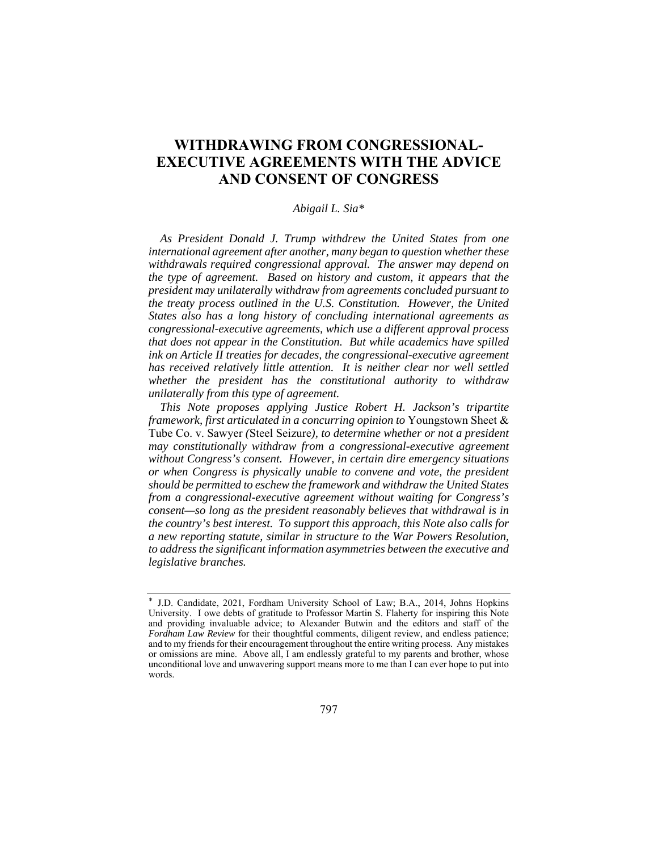# **WITHDRAWING FROM CONGRESSIONAL-EXECUTIVE AGREEMENTS WITH THE ADVICE AND CONSENT OF CONGRESS**

# *Abigail L. Sia\**

*As President Donald J. Trump withdrew the United States from one international agreement after another, many began to question whether these withdrawals required congressional approval. The answer may depend on the type of agreement. Based on history and custom, it appears that the president may unilaterally withdraw from agreements concluded pursuant to the treaty process outlined in the U.S. Constitution. However, the United States also has a long history of concluding international agreements as congressional-executive agreements, which use a different approval process that does not appear in the Constitution. But while academics have spilled ink on Article II treaties for decades, the congressional-executive agreement has received relatively little attention. It is neither clear nor well settled whether the president has the constitutional authority to withdraw unilaterally from this type of agreement.* 

*This Note proposes applying Justice Robert H. Jackson's tripartite framework, first articulated in a concurring opinion to* Youngstown Sheet & Tube Co. v. Sawyer *(*Steel Seizure*), to determine whether or not a president may constitutionally withdraw from a congressional-executive agreement without Congress's consent. However, in certain dire emergency situations or when Congress is physically unable to convene and vote, the president should be permitted to eschew the framework and withdraw the United States from a congressional-executive agreement without waiting for Congress's consent—so long as the president reasonably believes that withdrawal is in the country's best interest. To support this approach, this Note also calls for a new reporting statute, similar in structure to the War Powers Resolution, to address the significant information asymmetries between the executive and legislative branches.* 

<sup>\*</sup> J.D. Candidate, 2021, Fordham University School of Law; B.A., 2014, Johns Hopkins University. I owe debts of gratitude to Professor Martin S. Flaherty for inspiring this Note and providing invaluable advice; to Alexander Butwin and the editors and staff of the *Fordham Law Review* for their thoughtful comments, diligent review, and endless patience; and to my friends for their encouragement throughout the entire writing process. Any mistakes or omissions are mine. Above all, I am endlessly grateful to my parents and brother, whose unconditional love and unwavering support means more to me than I can ever hope to put into words.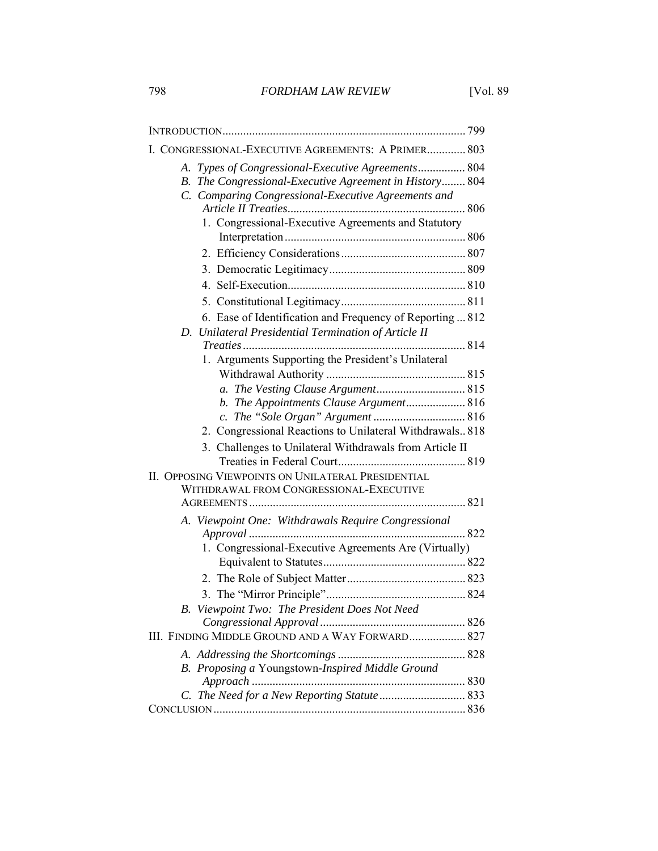| I. CONGRESSIONAL-EXECUTIVE AGREEMENTS: A PRIMER 803                                                                                                                  |
|----------------------------------------------------------------------------------------------------------------------------------------------------------------------|
| A. Types of Congressional-Executive Agreements 804<br>B. The Congressional-Executive Agreement in History 804<br>C. Comparing Congressional-Executive Agreements and |
| 1. Congressional-Executive Agreements and Statutory                                                                                                                  |
|                                                                                                                                                                      |
|                                                                                                                                                                      |
|                                                                                                                                                                      |
|                                                                                                                                                                      |
|                                                                                                                                                                      |
| 6. Ease of Identification and Frequency of Reporting  812                                                                                                            |
| D. Unilateral Presidential Termination of Article II                                                                                                                 |
|                                                                                                                                                                      |
| 1. Arguments Supporting the President's Unilateral                                                                                                                   |
|                                                                                                                                                                      |
| b. The Appointments Clause Argument 816                                                                                                                              |
|                                                                                                                                                                      |
| 2. Congressional Reactions to Unilateral Withdrawals 818                                                                                                             |
| 3. Challenges to Unilateral Withdrawals from Article II                                                                                                              |
|                                                                                                                                                                      |
| II. OPPOSING VIEWPOINTS ON UNILATERAL PRESIDENTIAL                                                                                                                   |
| WITHDRAWAL FROM CONGRESSIONAL-EXECUTIVE                                                                                                                              |
|                                                                                                                                                                      |
| A. Viewpoint One: Withdrawals Require Congressional                                                                                                                  |
| 1. Congressional-Executive Agreements Are (Virtually)                                                                                                                |
|                                                                                                                                                                      |
|                                                                                                                                                                      |
|                                                                                                                                                                      |
| Viewpoint Two: The President Does Not Need                                                                                                                           |
|                                                                                                                                                                      |
| III. FINDING MIDDLE GROUND AND A WAY FORWARD 827                                                                                                                     |
|                                                                                                                                                                      |
| Proposing a Youngstown-Inspired Middle Ground<br>В.                                                                                                                  |
|                                                                                                                                                                      |
|                                                                                                                                                                      |
|                                                                                                                                                                      |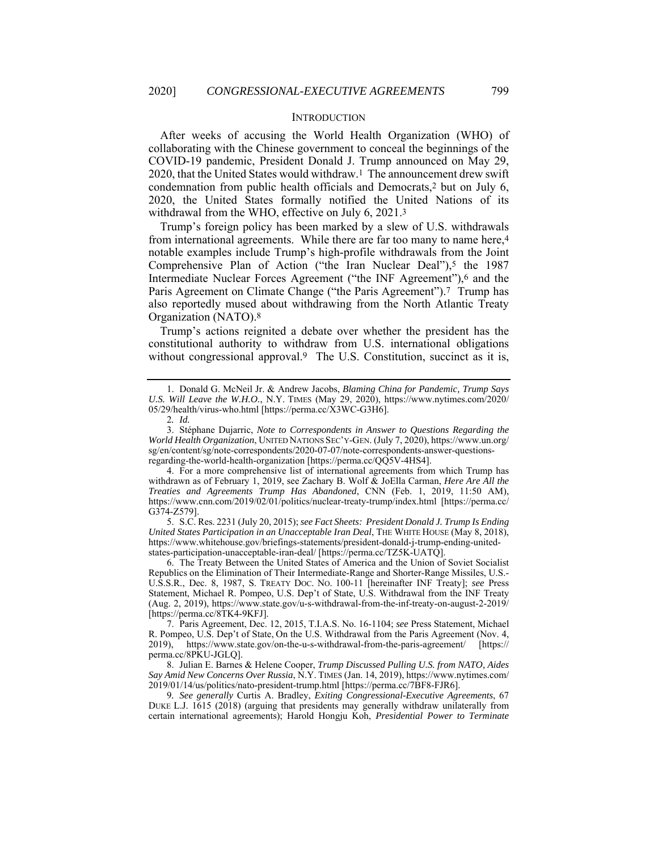#### INTRODUCTION

After weeks of accusing the World Health Organization (WHO) of collaborating with the Chinese government to conceal the beginnings of the COVID-19 pandemic, President Donald J. Trump announced on May 29, 2020, that the United States would withdraw.1 The announcement drew swift condemnation from public health officials and Democrats,2 but on July 6, 2020, the United States formally notified the United Nations of its withdrawal from the WHO, effective on July 6, 2021.3

Trump's foreign policy has been marked by a slew of U.S. withdrawals from international agreements. While there are far too many to name here,4 notable examples include Trump's high-profile withdrawals from the Joint Comprehensive Plan of Action ("the Iran Nuclear Deal"),<sup>5</sup> the 1987 Intermediate Nuclear Forces Agreement ("the INF Agreement"),<sup>6</sup> and the Paris Agreement on Climate Change ("the Paris Agreement").7 Trump has also reportedly mused about withdrawing from the North Atlantic Treaty Organization (NATO).8

Trump's actions reignited a debate over whether the president has the constitutional authority to withdraw from U.S. international obligations without congressional approval.<sup>9</sup> The U.S. Constitution, succinct as it is,

 5. S.C. Res. 2231 (July 20, 2015); *see Fact Sheets: President Donald J. Trump Is Ending United States Participation in an Unacceptable Iran Deal*, THE WHITE HOUSE (May 8, 2018), https://www.whitehouse.gov/briefings-statements/president-donald-j-trump-ending-unitedstates-participation-unacceptable-iran-deal/ [https://perma.cc/TZ5K-UATQ].

 <sup>1.</sup> Donald G. McNeil Jr. & Andrew Jacobs, *Blaming China for Pandemic, Trump Says U.S. Will Leave the W.H.O.*, N.Y. TIMES (May 29, 2020), https://www.nytimes.com/2020/ 05/29/health/virus-who.html [https://perma.cc/X3WC-G3H6].

<sup>2</sup>*. Id.*

 <sup>3.</sup> Stéphane Dujarric, *Note to Correspondents in Answer to Questions Regarding the World Health Organization*, UNITED NATIONS SEC'Y-GEN. (July 7, 2020), https://www.un.org/ sg/en/content/sg/note-correspondents/2020-07-07/note-correspondents-answer-questionsregarding-the-world-health-organization [https://perma.cc/QQ5V-4HS4].

 <sup>4.</sup> For a more comprehensive list of international agreements from which Trump has withdrawn as of February 1, 2019, see Zachary B. Wolf & JoElla Carman, *Here Are All the Treaties and Agreements Trump Has Abandoned*, CNN (Feb. 1, 2019, 11:50 AM), https://www.cnn.com/2019/02/01/politics/nuclear-treaty-trump/index.html [https://perma.cc/ G374-Z579].

 <sup>6.</sup> The Treaty Between the United States of America and the Union of Soviet Socialist Republics on the Elimination of Their Intermediate-Range and Shorter-Range Missiles, U.S.- U.S.S.R., Dec. 8, 1987, S. TREATY DOC. NO. 100-11 [hereinafter INF Treaty]; *see* Press Statement, Michael R. Pompeo, U.S. Dep't of State, U.S. Withdrawal from the INF Treaty (Aug. 2, 2019), https://www.state.gov/u-s-withdrawal-from-the-inf-treaty-on-august-2-2019/ [https://perma.cc/8TK4-9KFJ].

 <sup>7.</sup> Paris Agreement, Dec. 12, 2015, T.I.A.S. No. 16-1104; *see* Press Statement, Michael R. Pompeo, U.S. Dep't of State, On the U.S. Withdrawal from the Paris Agreement (Nov. 4, 2019), https://www.state.gov/on-the-u-s-withdrawal-from-the-paris-agreement/ [https:// perma.cc/8PKU-JGLQ].

 <sup>8.</sup> Julian E. Barnes & Helene Cooper, *Trump Discussed Pulling U.S. from NATO, Aides Say Amid New Concerns Over Russia*, N.Y. TIMES (Jan. 14, 2019), https://www.nytimes.com/ 2019/01/14/us/politics/nato-president-trump.html [https://perma.cc/7BF8-FJR6].

<sup>9</sup>*. See generally* Curtis A. Bradley, *Exiting Congressional-Executive Agreements*, 67 DUKE L.J. 1615 (2018) (arguing that presidents may generally withdraw unilaterally from certain international agreements); Harold Hongju Koh, *Presidential Power to Terminate*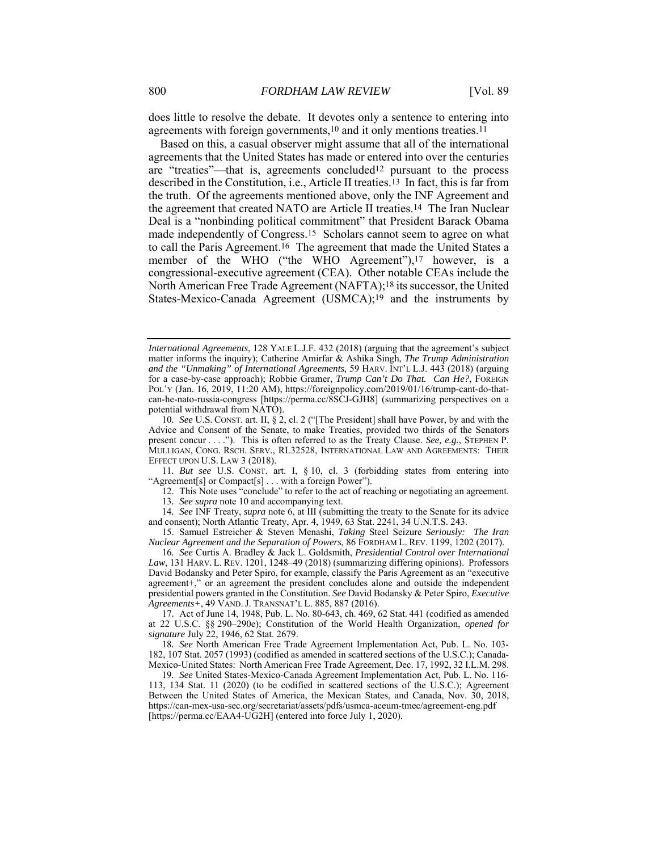does little to resolve the debate. It devotes only a sentence to entering into agreements with foreign governments,<sup>10</sup> and it only mentions treaties.<sup>11</sup>

Based on this, a casual observer might assume that all of the international agreements that the United States has made or entered into over the centuries are "treaties"—that is, agreements concluded12 pursuant to the process described in the Constitution, i.e., Article II treaties.13 In fact, this is far from the truth. Of the agreements mentioned above, only the INF Agreement and the agreement that created NATO are Article II treaties.14 The Iran Nuclear Deal is a "nonbinding political commitment" that President Barack Obama made independently of Congress.15 Scholars cannot seem to agree on what to call the Paris Agreement.16 The agreement that made the United States a member of the WHO ("the WHO Agreement"),<sup>17</sup> however, is a congressional-executive agreement (CEA). Other notable CEAs include the North American Free Trade Agreement (NAFTA);18 its successor, the United States-Mexico-Canada Agreement (USMCA);19 and the instruments by

11*. But see* U.S. CONST. art. I, § 10, cl. 3 (forbidding states from entering into "Agreement[s] or Compact[s] . . . with a foreign Power").

 12. This Note uses "conclude" to refer to the act of reaching or negotiating an agreement. 13*. See supra* note 10 and accompanying text.

14*. See* INF Treaty, *supra* note 6, at III (submitting the treaty to the Senate for its advice and consent); North Atlantic Treaty, Apr. 4, 1949, 63 Stat. 2241, 34 U.N.T.S. 243.

 15. Samuel Estreicher & Steven Menashi, *Taking* Steel Seizure *Seriously: The Iran Nuclear Agreement and the Separation of Powers*, 86 FORDHAM L. REV. 1199, 1202 (2017).

16*. See* Curtis A. Bradley & Jack L. Goldsmith, *Presidential Control over International Law*, 131 HARV. L. REV. 1201, 1248–49 (2018) (summarizing differing opinions). Professors David Bodansky and Peter Spiro, for example, classify the Paris Agreement as an "executive agreement+," or an agreement the president concludes alone and outside the independent presidential powers granted in the Constitution. *See* David Bodansky & Peter Spiro, *Executive Agreements+*, 49 VAND. J. TRANSNAT'L L. 885, 887 (2016).

 17. Act of June 14, 1948, Pub. L. No. 80-643, ch. 469, 62 Stat. 441 (codified as amended at 22 U.S.C. §§ 290–290e); Constitution of the World Health Organization, *opened for signature* July 22, 1946, 62 Stat. 2679.

18*. See* North American Free Trade Agreement Implementation Act, Pub. L. No. 103- 182, 107 Stat. 2057 (1993) (codified as amended in scattered sections of the U.S.C.); Canada-Mexico-United States: North American Free Trade Agreement, Dec. 17, 1992, 32 I.L.M. 298.

19*. See* United States-Mexico-Canada Agreement Implementation Act, Pub. L. No. 116- 113, 134 Stat. 11 (2020) (to be codified in scattered sections of the U.S.C.); Agreement Between the United States of America, the Mexican States, and Canada, Nov. 30, 2018, https://can-mex-usa-sec.org/secretariat/assets/pdfs/usmca-aceum-tmec/agreement-eng.pdf [https://perma.cc/EAA4-UG2H] (entered into force July 1, 2020).

*International Agreements*, 128 YALE L.J.F. 432 (2018) (arguing that the agreement's subject matter informs the inquiry); Catherine Amirfar & Ashika Singh, *The Trump Administration and the "Unmaking" of International Agreements*, 59 HARV. INT'L L.J. 443 (2018) (arguing for a case-by-case approach); Robbie Gramer, *Trump Can't Do That. Can He?*, FOREIGN POL'Y (Jan. 16, 2019, 11:20 AM), https://foreignpolicy.com/2019/01/16/trump-cant-do-thatcan-he-nato-russia-congress [https://perma.cc/8SCJ-GJH8] (summarizing perspectives on a potential withdrawal from NATO).

<sup>10</sup>*. See* U.S. CONST. art. II, § 2, cl. 2 ("[The President] shall have Power, by and with the Advice and Consent of the Senate, to make Treaties, provided two thirds of the Senators present concur . . . ."). This is often referred to as the Treaty Clause. *See, e.g.*, STEPHEN P. MULLIGAN, CONG. RSCH. SERV., RL32528, INTERNATIONAL LAW AND AGREEMENTS: THEIR EFFECT UPON U.S. LAW 3 (2018).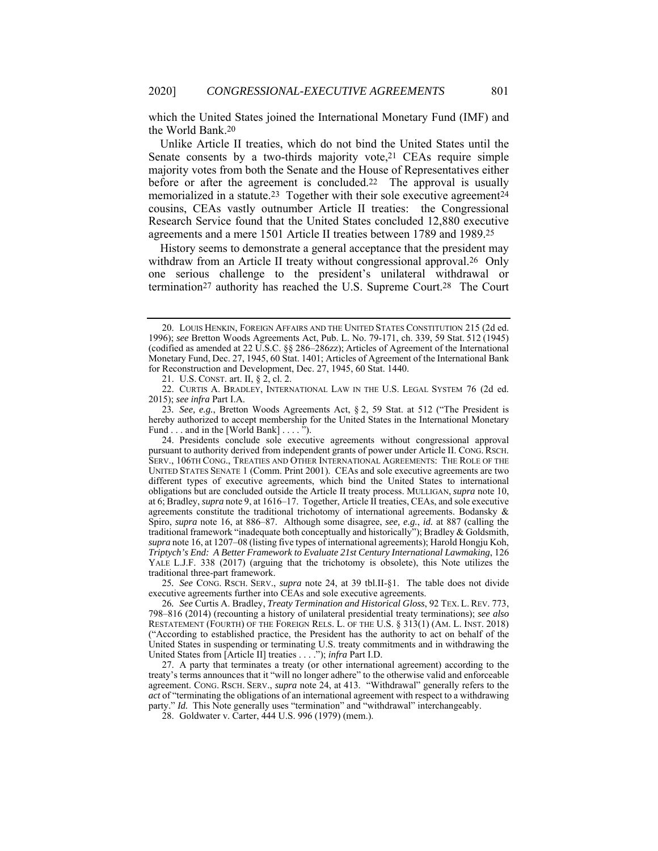which the United States joined the International Monetary Fund (IMF) and the World Bank.20

Unlike Article II treaties, which do not bind the United States until the Senate consents by a two-thirds majority vote,21 CEAs require simple majority votes from both the Senate and the House of Representatives either before or after the agreement is concluded.<sup>22</sup> The approval is usually memorialized in a statute.<sup>23</sup> Together with their sole executive agreement<sup>24</sup> cousins, CEAs vastly outnumber Article II treaties: the Congressional Research Service found that the United States concluded 12,880 executive agreements and a mere 1501 Article II treaties between 1789 and 1989.25

History seems to demonstrate a general acceptance that the president may withdraw from an Article II treaty without congressional approval.<sup>26</sup> Only one serious challenge to the president's unilateral withdrawal or termination27 authority has reached the U.S. Supreme Court.28 The Court

21. U.S. CONST. art. II, § 2, cl. 2.

25*. See* CONG. RSCH. SERV., *supra* note 24, at 39 tbl.II-§1. The table does not divide executive agreements further into CEAs and sole executive agreements.

26*. See* Curtis A. Bradley, *Treaty Termination and Historical Gloss*, 92 TEX. L. REV. 773, 798–816 (2014) (recounting a history of unilateral presidential treaty terminations); *see also* RESTATEMENT (FOURTH) OF THE FOREIGN RELS. L. OF THE U.S. § 313(1) (AM. L. INST. 2018) ("According to established practice, the President has the authority to act on behalf of the United States in suspending or terminating U.S. treaty commitments and in withdrawing the United States from [Article II] treaties . . . ."); *infra* Part I.D.

 27. A party that terminates a treaty (or other international agreement) according to the treaty's terms announces that it "will no longer adhere" to the otherwise valid and enforceable agreement. CONG. RSCH. SERV., *supra* note 24, at 413. "Withdrawal" generally refers to the *act* of "terminating the obligations of an international agreement with respect to a withdrawing party." *Id.* This Note generally uses "termination" and "withdrawal" interchangeably.

28. Goldwater v. Carter, 444 U.S. 996 (1979) (mem.).

 <sup>20.</sup> LOUIS HENKIN, FOREIGN AFFAIRS AND THE UNITED STATES CONSTITUTION 215 (2d ed. 1996); *see* Bretton Woods Agreements Act, Pub. L. No. 79-171, ch. 339, 59 Stat. 512 (1945) (codified as amended at 22 U.S.C. §§ 286–286zz); Articles of Agreement of the International Monetary Fund, Dec. 27, 1945, 60 Stat. 1401; Articles of Agreement of the International Bank for Reconstruction and Development, Dec. 27, 1945, 60 Stat. 1440.

 <sup>22.</sup> CURTIS A. BRADLEY, INTERNATIONAL LAW IN THE U.S. LEGAL SYSTEM 76 (2d ed. 2015); *see infra* Part I.A.

<sup>23</sup>*. See, e.g.*, Bretton Woods Agreements Act, § 2, 59 Stat. at 512 ("The President is hereby authorized to accept membership for the United States in the International Monetary Fund . . . and in the [World Bank] . . . . ").

 <sup>24.</sup> Presidents conclude sole executive agreements without congressional approval pursuant to authority derived from independent grants of power under Article II. CONG. RSCH. SERV., 106TH CONG., TREATIES AND OTHER INTERNATIONAL AGREEMENTS: THE ROLE OF THE UNITED STATES SENATE 1 (Comm. Print 2001). CEAs and sole executive agreements are two different types of executive agreements, which bind the United States to international obligations but are concluded outside the Article II treaty process. MULLIGAN, *supra* note 10, at 6; Bradley, *supra* note 9, at 1616–17. Together, Article II treaties, CEAs, and sole executive agreements constitute the traditional trichotomy of international agreements. Bodansky & Spiro, *supra* note 16, at 886–87. Although some disagree, *see, e.g.*, *id.* at 887 (calling the traditional framework "inadequate both conceptually and historically"); Bradley & Goldsmith, *supra* note 16, at 1207–08 (listing five types of international agreements); Harold Hongju Koh, *Triptych's End: A Better Framework to Evaluate 21st Century International Lawmaking*, 126 YALE L.J.F. 338 (2017) (arguing that the trichotomy is obsolete), this Note utilizes the traditional three-part framework.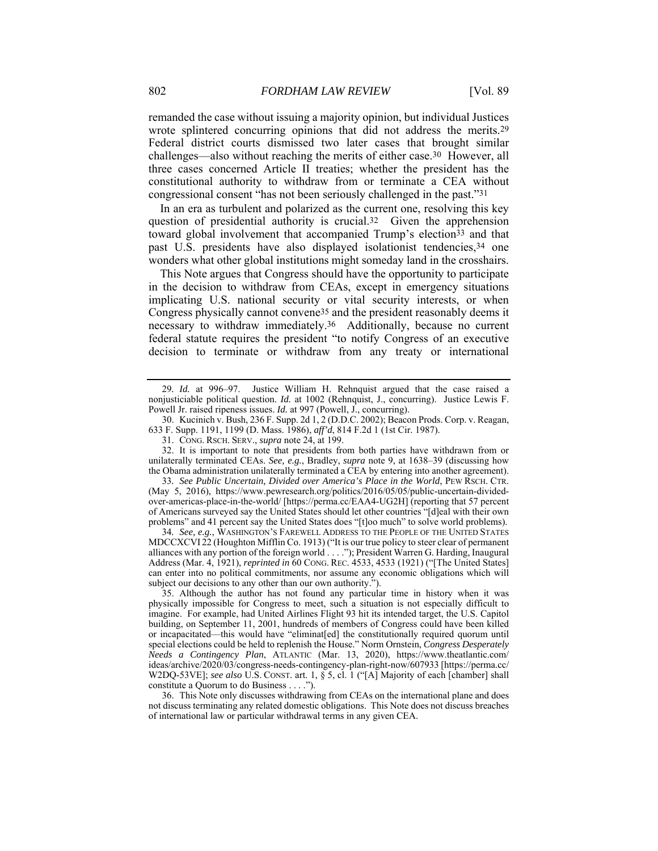remanded the case without issuing a majority opinion, but individual Justices wrote splintered concurring opinions that did not address the merits.29 Federal district courts dismissed two later cases that brought similar challenges—also without reaching the merits of either case.30 However, all three cases concerned Article II treaties; whether the president has the constitutional authority to withdraw from or terminate a CEA without congressional consent "has not been seriously challenged in the past."31

In an era as turbulent and polarized as the current one, resolving this key question of presidential authority is crucial.32 Given the apprehension toward global involvement that accompanied Trump's election<sup>33</sup> and that past U.S. presidents have also displayed isolationist tendencies,34 one wonders what other global institutions might someday land in the crosshairs.

This Note argues that Congress should have the opportunity to participate in the decision to withdraw from CEAs, except in emergency situations implicating U.S. national security or vital security interests, or when Congress physically cannot convene35 and the president reasonably deems it necessary to withdraw immediately.36 Additionally, because no current federal statute requires the president "to notify Congress of an executive decision to terminate or withdraw from any treaty or international

 30. Kucinich v. Bush, 236 F. Supp. 2d 1, 2 (D.D.C. 2002); Beacon Prods. Corp. v. Reagan, 633 F. Supp. 1191, 1199 (D. Mass. 1986), *aff'd*, 814 F.2d 1 (1st Cir. 1987).

 32. It is important to note that presidents from both parties have withdrawn from or unilaterally terminated CEAs. *See, e.g.*, Bradley, *supra* note 9, at 1638–39 (discussing how the Obama administration unilaterally terminated a CEA by entering into another agreement).

33*. See Public Uncertain, Divided over America's Place in the World*, PEW RSCH. CTR. (May 5, 2016), https://www.pewresearch.org/politics/2016/05/05/public-uncertain-dividedover-americas-place-in-the-world/ [https://perma.cc/EAA4-UG2H] (reporting that 57 percent of Americans surveyed say the United States should let other countries "[d]eal with their own problems" and 41 percent say the United States does "[t]oo much" to solve world problems).

34*. See, e.g.*, WASHINGTON'S FAREWELL ADDRESS TO THE PEOPLE OF THE UNITED STATES MDCCXCVI 22 (Houghton Mifflin Co. 1913) ("It is our true policy to steer clear of permanent alliances with any portion of the foreign world . . . ."); President Warren G. Harding, Inaugural Address (Mar. 4, 1921), *reprinted in* 60 CONG. REC. 4533, 4533 (1921) ("[The United States] can enter into no political commitments, nor assume any economic obligations which will subject our decisions to any other than our own authority.'

 35. Although the author has not found any particular time in history when it was physically impossible for Congress to meet, such a situation is not especially difficult to imagine. For example, had United Airlines Flight 93 hit its intended target, the U.S. Capitol building, on September 11, 2001, hundreds of members of Congress could have been killed or incapacitated—this would have "eliminat[ed] the constitutionally required quorum until special elections could be held to replenish the House." Norm Ornstein, *Congress Desperately Needs a Contingency Plan*, ATLANTIC (Mar. 13, 2020), https://www.theatlantic.com/ ideas/archive/2020/03/congress-needs-contingency-plan-right-now/607933 [https://perma.cc/ W2DQ-53VE]; *see also* U.S. CONST. art. 1, § 5, cl. 1 ("[A] Majority of each [chamber] shall constitute a Quorum to do Business . . . .").

 36. This Note only discusses withdrawing from CEAs on the international plane and does not discuss terminating any related domestic obligations. This Note does not discuss breaches of international law or particular withdrawal terms in any given CEA.

<sup>29</sup>*. Id.* at 996–97. Justice William H. Rehnquist argued that the case raised a nonjusticiable political question. *Id.* at 1002 (Rehnquist, J., concurring). Justice Lewis F. Powell Jr. raised ripeness issues. *Id.* at 997 (Powell, J., concurring).

 <sup>31.</sup> CONG. RSCH. SERV., *supra* note 24, at 199.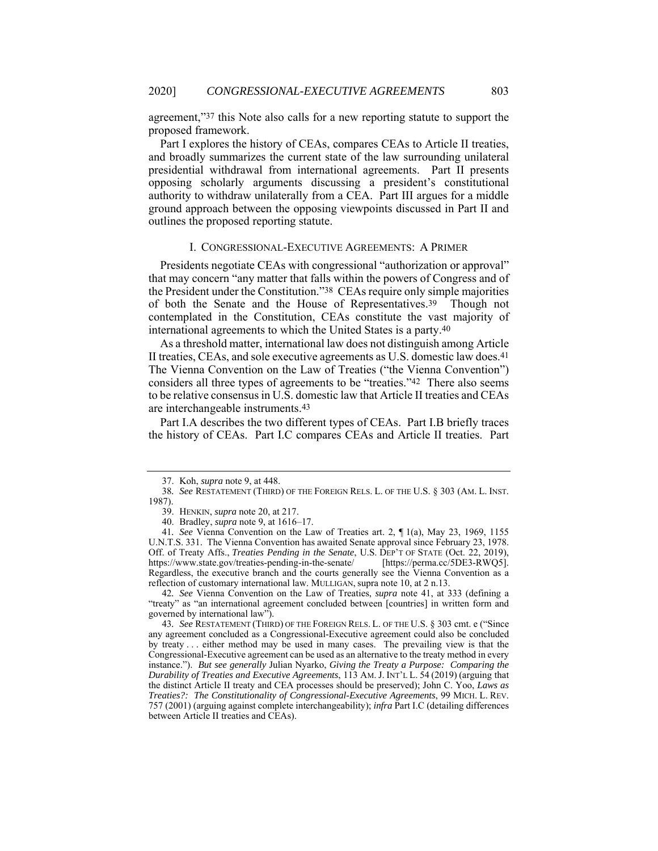agreement,"37 this Note also calls for a new reporting statute to support the proposed framework.

Part I explores the history of CEAs, compares CEAs to Article II treaties, and broadly summarizes the current state of the law surrounding unilateral presidential withdrawal from international agreements. Part II presents opposing scholarly arguments discussing a president's constitutional authority to withdraw unilaterally from a CEA. Part III argues for a middle ground approach between the opposing viewpoints discussed in Part II and outlines the proposed reporting statute.

#### I. CONGRESSIONAL-EXECUTIVE AGREEMENTS: A PRIMER

Presidents negotiate CEAs with congressional "authorization or approval" that may concern "any matter that falls within the powers of Congress and of the President under the Constitution."38 CEAs require only simple majorities of both the Senate and the House of Representatives.39 Though not contemplated in the Constitution, CEAs constitute the vast majority of international agreements to which the United States is a party.40

As a threshold matter, international law does not distinguish among Article II treaties, CEAs, and sole executive agreements as U.S. domestic law does.41 The Vienna Convention on the Law of Treaties ("the Vienna Convention") considers all three types of agreements to be "treaties."42 There also seems to be relative consensus in U.S. domestic law that Article II treaties and CEAs are interchangeable instruments.43

Part I.A describes the two different types of CEAs. Part I.B briefly traces the history of CEAs. Part I.C compares CEAs and Article II treaties. Part

42*. See* Vienna Convention on the Law of Treaties, *supra* note 41, at 333 (defining a "treaty" as "an international agreement concluded between [countries] in written form and governed by international law").

 <sup>37.</sup> Koh, *supra* note 9, at 448.

<sup>38</sup>*. See* RESTATEMENT (THIRD) OF THE FOREIGN RELS. L. OF THE U.S. § 303 (AM. L. INST. 1987).

 <sup>39.</sup> HENKIN, *supra* note 20, at 217.

 <sup>40.</sup> Bradley, *supra* note 9, at 1616–17.

<sup>41</sup>*. See* Vienna Convention on the Law of Treaties art. 2, ¶ 1(a), May 23, 1969, 1155 U.N.T.S. 331. The Vienna Convention has awaited Senate approval since February 23, 1978. Off. of Treaty Affs., *Treaties Pending in the Senate*, U.S. DEP'T OF STATE (Oct. 22, 2019), https://www.state.gov/treaties-pending-in-the-senate/ [https://perma.cc/5DE3-RWQ5]. Regardless, the executive branch and the courts generally see the Vienna Convention as a reflection of customary international law. MULLIGAN, supra note 10, at 2 n.13.

<sup>43</sup>*. See* RESTATEMENT (THIRD) OF THE FOREIGN RELS. L. OF THE U.S. § 303 cmt. e ("Since any agreement concluded as a Congressional-Executive agreement could also be concluded by treaty . . . either method may be used in many cases. The prevailing view is that the Congressional-Executive agreement can be used as an alternative to the treaty method in every instance."). *But see generally* Julian Nyarko, *Giving the Treaty a Purpose: Comparing the Durability of Treaties and Executive Agreements*, 113 AM. J. INT'L L. 54 (2019) (arguing that the distinct Article II treaty and CEA processes should be preserved); John C. Yoo, *Laws as Treaties?: The Constitutionality of Congressional-Executive Agreements*, 99 MICH. L. REV. 757 (2001) (arguing against complete interchangeability); *infra* Part I.C (detailing differences between Article II treaties and CEAs).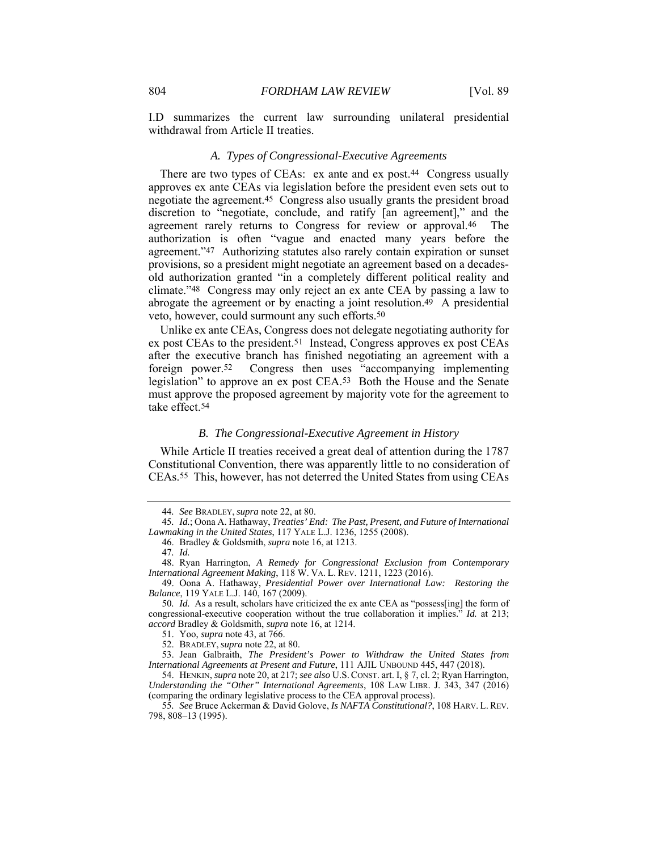I.D summarizes the current law surrounding unilateral presidential withdrawal from Article II treaties.

# *A. Types of Congressional-Executive Agreements*

There are two types of CEAs: ex ante and ex post.<sup>44</sup> Congress usually approves ex ante CEAs via legislation before the president even sets out to negotiate the agreement.45 Congress also usually grants the president broad discretion to "negotiate, conclude, and ratify [an agreement]," and the agreement rarely returns to Congress for review or approval.46 The authorization is often "vague and enacted many years before the agreement."47 Authorizing statutes also rarely contain expiration or sunset provisions, so a president might negotiate an agreement based on a decadesold authorization granted "in a completely different political reality and climate."48 Congress may only reject an ex ante CEA by passing a law to abrogate the agreement or by enacting a joint resolution.49 A presidential veto, however, could surmount any such efforts.50

Unlike ex ante CEAs, Congress does not delegate negotiating authority for ex post CEAs to the president.51 Instead, Congress approves ex post CEAs after the executive branch has finished negotiating an agreement with a foreign power.52 Congress then uses "accompanying implementing legislation" to approve an ex post CEA.53 Both the House and the Senate must approve the proposed agreement by majority vote for the agreement to take effect.54

# *B. The Congressional-Executive Agreement in History*

While Article II treaties received a great deal of attention during the 1787 Constitutional Convention, there was apparently little to no consideration of CEAs.55 This, however, has not deterred the United States from using CEAs

<sup>44</sup>*. See* BRADLEY, *supra* note 22, at 80.

<sup>45</sup>*. Id.*; Oona A. Hathaway, *Treaties' End: The Past, Present, and Future of International Lawmaking in the United States*, 117 YALE L.J. 1236, 1255 (2008).

 <sup>46.</sup> Bradley & Goldsmith, *supra* note 16, at 1213.

<sup>47</sup>*. Id.*

 <sup>48.</sup> Ryan Harrington, *A Remedy for Congressional Exclusion from Contemporary International Agreement Making*, 118 W. VA. L. REV. 1211, 1223 (2016).

 <sup>49.</sup> Oona A. Hathaway, *Presidential Power over International Law: Restoring the Balance*, 119 YALE L.J. 140, 167 (2009).

<sup>50</sup>*. Id.* As a result, scholars have criticized the ex ante CEA as "possess[ing] the form of congressional-executive cooperation without the true collaboration it implies." *Id.* at 213; *accord* Bradley & Goldsmith, *supra* note 16, at 1214.

 <sup>51.</sup> Yoo, *supra* note 43, at 766.

 <sup>52.</sup> BRADLEY, *supra* note 22, at 80.

 <sup>53.</sup> Jean Galbraith, *The President's Power to Withdraw the United States from International Agreements at Present and Future*, 111 AJIL UNBOUND 445, 447 (2018).

 <sup>54.</sup> HENKIN, *supra* note 20, at 217; *see also* U.S. CONST. art. I, § 7, cl. 2; Ryan Harrington, *Understanding the "Other" International Agreements*, 108 LAW LIBR. J. 343, 347 (2016) (comparing the ordinary legislative process to the CEA approval process).

<sup>55</sup>*. See* Bruce Ackerman & David Golove, *Is NAFTA Constitutional?*, 108 HARV. L. REV. 798, 808–13 (1995).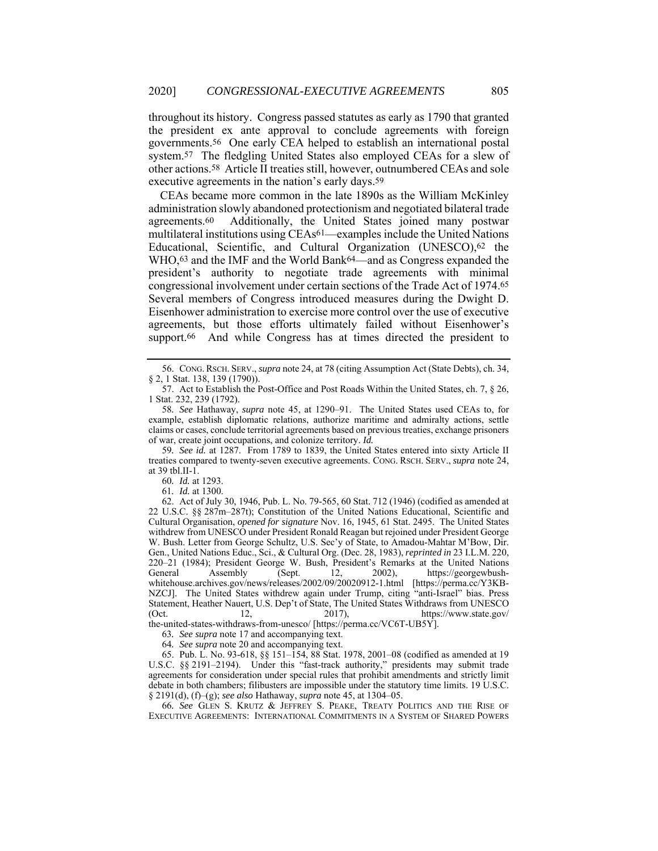throughout its history. Congress passed statutes as early as 1790 that granted the president ex ante approval to conclude agreements with foreign governments.56 One early CEA helped to establish an international postal system.57 The fledgling United States also employed CEAs for a slew of other actions.58 Article II treaties still, however, outnumbered CEAs and sole executive agreements in the nation's early days.59

CEAs became more common in the late 1890s as the William McKinley administration slowly abandoned protectionism and negotiated bilateral trade agreements.60 Additionally, the United States joined many postwar multilateral institutions using CEAs61—examples include the United Nations Educational, Scientific, and Cultural Organization (UNESCO),62 the WHO,<sup>63</sup> and the IMF and the World Bank<sup>64</sup>—and as Congress expanded the president's authority to negotiate trade agreements with minimal congressional involvement under certain sections of the Trade Act of 1974.65 Several members of Congress introduced measures during the Dwight D. Eisenhower administration to exercise more control over the use of executive agreements, but those efforts ultimately failed without Eisenhower's support.<sup>66</sup> And while Congress has at times directed the president to

59*. See id.* at 1287. From 1789 to 1839, the United States entered into sixty Article II treaties compared to twenty-seven executive agreements. CONG. RSCH. SERV., *supra* note 24, at 39 tbl.II-1.

60*. Id.* at 1293.

61*. Id.* at 1300.

 62. Act of July 30, 1946, Pub. L. No. 79-565, 60 Stat. 712 (1946) (codified as amended at 22 U.S.C. §§ 287m–287t); Constitution of the United Nations Educational, Scientific and Cultural Organisation, *opened for signature* Nov. 16, 1945, 61 Stat. 2495. The United States withdrew from UNESCO under President Ronald Reagan but rejoined under President George W. Bush. Letter from George Schultz, U.S. Sec'y of State, to Amadou-Mahtar M'Bow, Dir. Gen., United Nations Educ., Sci., & Cultural Org. (Dec. 28, 1983), *reprinted in* 23 I.L.M. 220, 220–21 (1984); President George W. Bush, President's Remarks at the United Nations General Assembly (Sept. 12, 2002), https://georgewbushwhitehouse.archives.gov/news/releases/2002/09/20020912-1.html [https://perma.cc/Y3KB-NZCJ]. The United States withdrew again under Trump, citing "anti-Israel" bias. Press Statement, Heather Nauert, U.S. Dep't of State, The United States Withdraws from UNESCO (Oct.  $12$ ,  $2017$ ), https://www.state.gov/ the-united-states-withdraws-from-unesco/ [https://perma.cc/VC6T-UB5Y].

63*. See supra* note 17 and accompanying text.

64*. See supra* note 20 and accompanying text.

 65. Pub. L. No. 93-618, §§ 151–154, 88 Stat. 1978, 2001–08 (codified as amended at 19 U.S.C. §§ 2191–2194). Under this "fast-track authority," presidents may submit trade agreements for consideration under special rules that prohibit amendments and strictly limit debate in both chambers; filibusters are impossible under the statutory time limits. 19 U.S.C. § 2191(d), (f)–(g); *see also* Hathaway, *supra* note 45, at 1304–05.

66*. See* GLEN S. KRUTZ & JEFFREY S. PEAKE, TREATY POLITICS AND THE RISE OF EXECUTIVE AGREEMENTS: INTERNATIONAL COMMITMENTS IN A SYSTEM OF SHARED POWERS

 <sup>56.</sup> CONG. RSCH. SERV., *supra* note 24, at 78 (citing Assumption Act (State Debts), ch. 34, § 2, 1 Stat. 138, 139 (1790)).

 <sup>57.</sup> Act to Establish the Post-Office and Post Roads Within the United States, ch. 7, § 26, 1 Stat. 232, 239 (1792).

<sup>58</sup>*. See* Hathaway, *supra* note 45, at 1290–91. The United States used CEAs to, for example, establish diplomatic relations, authorize maritime and admiralty actions, settle claims or cases, conclude territorial agreements based on previous treaties, exchange prisoners of war, create joint occupations, and colonize territory. *Id.*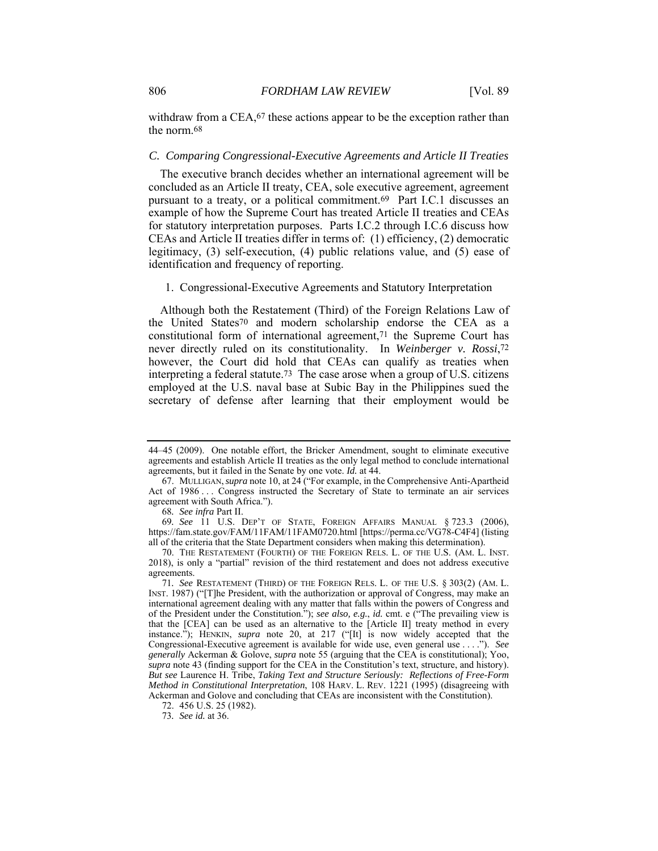withdraw from a CEA,<sup>67</sup> these actions appear to be the exception rather than the norm.68

#### *C. Comparing Congressional-Executive Agreements and Article II Treaties*

The executive branch decides whether an international agreement will be concluded as an Article II treaty, CEA, sole executive agreement, agreement pursuant to a treaty, or a political commitment.<sup>69</sup> Part I.C.1 discusses an example of how the Supreme Court has treated Article II treaties and CEAs for statutory interpretation purposes. Parts I.C.2 through I.C.6 discuss how CEAs and Article II treaties differ in terms of: (1) efficiency, (2) democratic legitimacy, (3) self-execution, (4) public relations value, and (5) ease of identification and frequency of reporting.

# 1. Congressional-Executive Agreements and Statutory Interpretation

Although both the Restatement (Third) of the Foreign Relations Law of the United States70 and modern scholarship endorse the CEA as a constitutional form of international agreement,71 the Supreme Court has never directly ruled on its constitutionality. In *Weinberger v. Rossi*,72 however, the Court did hold that CEAs can qualify as treaties when interpreting a federal statute.73 The case arose when a group of U.S. citizens employed at the U.S. naval base at Subic Bay in the Philippines sued the secretary of defense after learning that their employment would be

<sup>44–45 (2009).</sup> One notable effort, the Bricker Amendment, sought to eliminate executive agreements and establish Article II treaties as the only legal method to conclude international agreements, but it failed in the Senate by one vote. *Id.* at 44.

 <sup>67.</sup> MULLIGAN,*supra* note 10, at 24 ("For example, in the Comprehensive Anti-Apartheid Act of 1986 ... Congress instructed the Secretary of State to terminate an air services agreement with South Africa.").

<sup>68</sup>*. See infra* Part II.

<sup>69</sup>*. See* 11 U.S. DEP'T OF STATE, FOREIGN AFFAIRS MANUAL § 723.3 (2006), https://fam.state.gov/FAM/11FAM/11FAM0720.html [https://perma.cc/VG78-C4F4] (listing all of the criteria that the State Department considers when making this determination).

 <sup>70.</sup> THE RESTATEMENT (FOURTH) OF THE FOREIGN RELS. L. OF THE U.S. (AM. L. INST. 2018), is only a "partial" revision of the third restatement and does not address executive agreements.

<sup>71</sup>*. See* RESTATEMENT (THIRD) OF THE FOREIGN RELS. L. OF THE U.S. § 303(2) (AM. L. INST. 1987) ("[T]he President, with the authorization or approval of Congress, may make an international agreement dealing with any matter that falls within the powers of Congress and of the President under the Constitution."); *see also, e.g.*, *id.* cmt. e ("The prevailing view is that the [CEA] can be used as an alternative to the [Article II] treaty method in every instance."); HENKIN, *supra* note 20, at 217 ("[It] is now widely accepted that the Congressional-Executive agreement is available for wide use, even general use . . . ."). *See generally* Ackerman & Golove, *supra* note 55 (arguing that the CEA is constitutional); Yoo, *supra* note 43 (finding support for the CEA in the Constitution's text, structure, and history). *But see* Laurence H. Tribe, *Taking Text and Structure Seriously: Reflections of Free-Form Method in Constitutional Interpretation*, 108 HARV. L. REV. 1221 (1995) (disagreeing with Ackerman and Golove and concluding that CEAs are inconsistent with the Constitution).

 <sup>72. 456</sup> U.S. 25 (1982).

<sup>73</sup>*. See id.* at 36.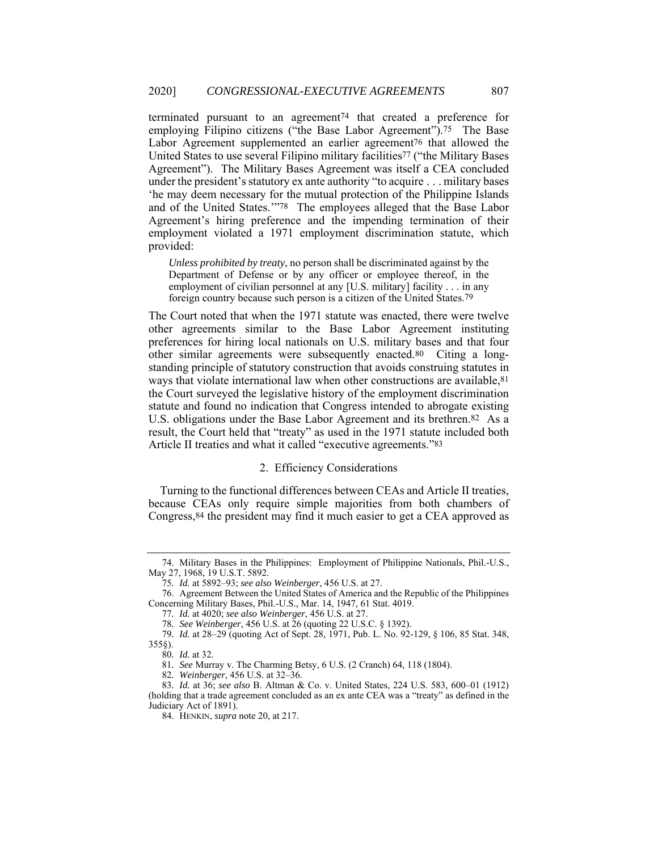terminated pursuant to an agreement74 that created a preference for employing Filipino citizens ("the Base Labor Agreement").<sup>75</sup> The Base Labor Agreement supplemented an earlier agreement<sup>76</sup> that allowed the United States to use several Filipino military facilities77 ("the Military Bases Agreement"). The Military Bases Agreement was itself a CEA concluded under the president's statutory ex ante authority "to acquire . . . military bases 'he may deem necessary for the mutual protection of the Philippine Islands and of the United States.'"78 The employees alleged that the Base Labor Agreement's hiring preference and the impending termination of their employment violated a 1971 employment discrimination statute, which provided:

*Unless prohibited by treaty*, no person shall be discriminated against by the Department of Defense or by any officer or employee thereof, in the employment of civilian personnel at any [U.S. military] facility . . . in any foreign country because such person is a citizen of the United States.79

The Court noted that when the 1971 statute was enacted, there were twelve other agreements similar to the Base Labor Agreement instituting preferences for hiring local nationals on U.S. military bases and that four other similar agreements were subsequently enacted.80 Citing a longstanding principle of statutory construction that avoids construing statutes in ways that violate international law when other constructions are available,  $81$ the Court surveyed the legislative history of the employment discrimination statute and found no indication that Congress intended to abrogate existing U.S. obligations under the Base Labor Agreement and its brethren.<sup>82</sup> As a result, the Court held that "treaty" as used in the 1971 statute included both Article II treaties and what it called "executive agreements."83

# 2. Efficiency Considerations

Turning to the functional differences between CEAs and Article II treaties, because CEAs only require simple majorities from both chambers of Congress,84 the president may find it much easier to get a CEA approved as

 <sup>74.</sup> Military Bases in the Philippines: Employment of Philippine Nationals, Phil.-U.S., May 27, 1968, 19 U.S.T. 5892.

<sup>75</sup>*. Id.* at 5892–93; *see also Weinberger*, 456 U.S. at 27.

 <sup>76.</sup> Agreement Between the United States of America and the Republic of the Philippines Concerning Military Bases, Phil.-U.S., Mar. 14, 1947, 61 Stat. 4019.

<sup>77</sup>*. Id.* at 4020; *see also Weinberger*, 456 U.S. at 27.

<sup>78</sup>*. See Weinberger*, 456 U.S. at 26 (quoting 22 U.S.C. § 1392).

<sup>79</sup>*. Id.* at 28–29 (quoting Act of Sept. 28, 1971, Pub. L. No. 92-129, § 106, 85 Stat. 348, 355§).

<sup>80</sup>*. Id.* at 32.

<sup>81</sup>*. See* Murray v. The Charming Betsy, 6 U.S. (2 Cranch) 64, 118 (1804).

<sup>82</sup>*. Weinberger*, 456 U.S. at 32–36.

<sup>83</sup>*. Id.* at 36; *see also* B. Altman & Co. v. United States, 224 U.S. 583, 600–01 (1912) (holding that a trade agreement concluded as an ex ante CEA was a "treaty" as defined in the Judiciary Act of 1891).

 <sup>84.</sup> HENKIN, *supra* note 20, at 217.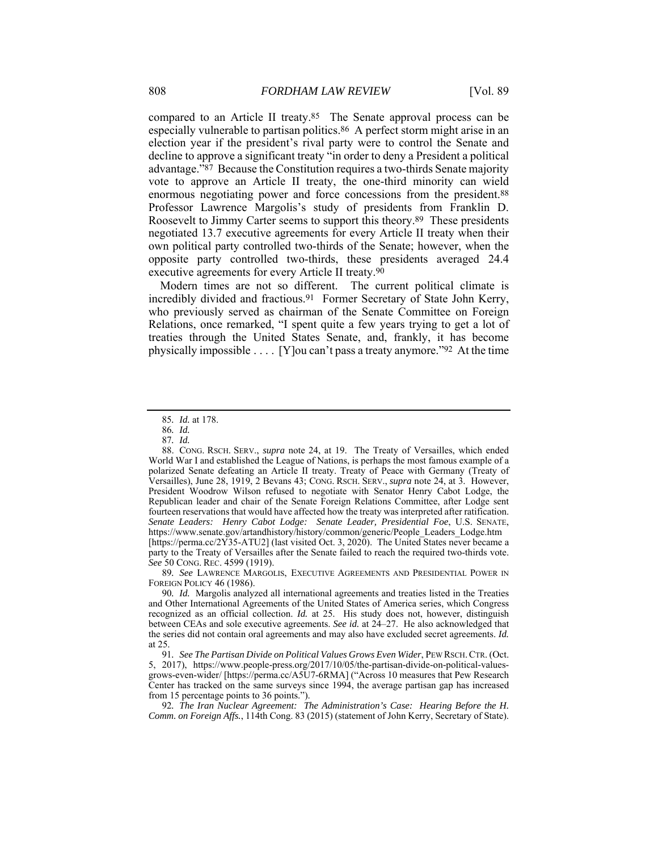compared to an Article II treaty.85 The Senate approval process can be especially vulnerable to partisan politics.86 A perfect storm might arise in an election year if the president's rival party were to control the Senate and decline to approve a significant treaty "in order to deny a President a political advantage."87 Because the Constitution requires a two-thirds Senate majority vote to approve an Article II treaty, the one-third minority can wield enormous negotiating power and force concessions from the president.88 Professor Lawrence Margolis's study of presidents from Franklin D. Roosevelt to Jimmy Carter seems to support this theory.89 These presidents negotiated 13.7 executive agreements for every Article II treaty when their own political party controlled two-thirds of the Senate; however, when the opposite party controlled two-thirds, these presidents averaged 24.4 executive agreements for every Article II treaty.90

Modern times are not so different. The current political climate is incredibly divided and fractious.91 Former Secretary of State John Kerry, who previously served as chairman of the Senate Committee on Foreign Relations, once remarked, "I spent quite a few years trying to get a lot of treaties through the United States Senate, and, frankly, it has become physically impossible . . . . [Y]ou can't pass a treaty anymore."92 At the time

89*. See* LAWRENCE MARGOLIS, EXECUTIVE AGREEMENTS AND PRESIDENTIAL POWER IN FOREIGN POLICY 46 (1986).

90*. Id.* Margolis analyzed all international agreements and treaties listed in the Treaties and Other International Agreements of the United States of America series, which Congress recognized as an official collection. *Id.* at 25. His study does not, however, distinguish between CEAs and sole executive agreements. *See id.* at 24–27. He also acknowledged that the series did not contain oral agreements and may also have excluded secret agreements. *Id.* at 25.

92*. The Iran Nuclear Agreement: The Administration's Case: Hearing Before the H. Comm. on Foreign Affs.*, 114th Cong. 83 (2015) (statement of John Kerry, Secretary of State).

<sup>85</sup>*. Id.* at 178.

<sup>86</sup>*. Id.*

<sup>87</sup>*. Id.*

 <sup>88.</sup> CONG. RSCH. SERV., *supra* note 24, at 19. The Treaty of Versailles, which ended World War I and established the League of Nations, is perhaps the most famous example of a polarized Senate defeating an Article II treaty. Treaty of Peace with Germany (Treaty of Versailles), June 28, 1919, 2 Bevans 43; CONG. RSCH. SERV., *supra* note 24, at 3. However, President Woodrow Wilson refused to negotiate with Senator Henry Cabot Lodge, the Republican leader and chair of the Senate Foreign Relations Committee, after Lodge sent fourteen reservations that would have affected how the treaty was interpreted after ratification. *Senate Leaders: Henry Cabot Lodge: Senate Leader, Presidential Foe*, U.S. SENATE, https://www.senate.gov/artandhistory/history/common/generic/People\_Leaders\_Lodge.htm [https://perma.cc/2Y35-ATU2] (last visited Oct. 3, 2020). The United States never became a party to the Treaty of Versailles after the Senate failed to reach the required two-thirds vote. *See* 50 CONG. REC. 4599 (1919).

<sup>91</sup>*. See The Partisan Divide on Political Values Grows Even Wider*, PEW RSCH.CTR. (Oct. 5, 2017), https://www.people-press.org/2017/10/05/the-partisan-divide-on-political-valuesgrows-even-wider/ [https://perma.cc/A5U7-6RMA] ("Across 10 measures that Pew Research Center has tracked on the same surveys since 1994, the average partisan gap has increased from 15 percentage points to 36 points.").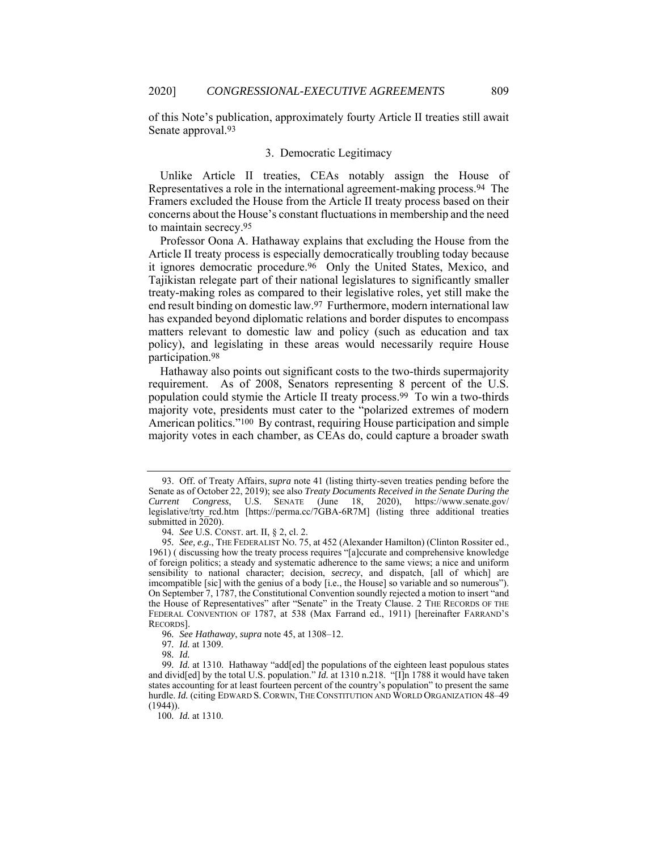of this Note's publication, approximately fourty Article II treaties still await Senate approval.93

# 3. Democratic Legitimacy

Unlike Article II treaties, CEAs notably assign the House of Representatives a role in the international agreement-making process.94 The Framers excluded the House from the Article II treaty process based on their concerns about the House's constant fluctuations in membership and the need to maintain secrecy.95

Professor Oona A. Hathaway explains that excluding the House from the Article II treaty process is especially democratically troubling today because it ignores democratic procedure.96 Only the United States, Mexico, and Tajikistan relegate part of their national legislatures to significantly smaller treaty-making roles as compared to their legislative roles, yet still make the end result binding on domestic law.97 Furthermore, modern international law has expanded beyond diplomatic relations and border disputes to encompass matters relevant to domestic law and policy (such as education and tax policy), and legislating in these areas would necessarily require House participation.98

Hathaway also points out significant costs to the two-thirds supermajority requirement. As of 2008, Senators representing 8 percent of the U.S. population could stymie the Article II treaty process.99 To win a two-thirds majority vote, presidents must cater to the "polarized extremes of modern American politics."100 By contrast, requiring House participation and simple majority votes in each chamber, as CEAs do, could capture a broader swath

100*. Id.* at 1310.

 <sup>93.</sup> Off. of Treaty Affairs, *supra* note 41 (listing thirty-seven treaties pending before the Senate as of October 22, 2019); see also *Treaty Documents Received in the Senate During the Current Congress*, U.S. SENATE (June 18, 2020), https://www.senate.gov/ legislative/trty\_rcd.htm [https://perma.cc/7GBA-6R7M] (listing three additional treaties submitted in  $2\overline{0}20$ ).

<sup>94</sup>*. See* U.S. CONST. art. II, § 2, cl. 2.

<sup>95</sup>*. See, e.g.*, THE FEDERALIST NO. 75, at 452 (Alexander Hamilton) (Clinton Rossiter ed., 1961) ( discussing how the treaty process requires "[a]ccurate and comprehensive knowledge of foreign politics; a steady and systematic adherence to the same views; a nice and uniform sensibility to national character; decision, *secrecy*, and dispatch, [all of which] are imcompatible [sic] with the genius of a body [i.e*.*, the House] so variable and so numerous"). On September 7, 1787, the Constitutional Convention soundly rejected a motion to insert "and the House of Representatives" after "Senate" in the Treaty Clause. 2 THE RECORDS OF THE FEDERAL CONVENTION OF 1787, at 538 (Max Farrand ed., 1911) [hereinafter FARRAND'S RECORDS].

<sup>96</sup>*. See Hathaway*, *supra* note 45, at 1308–12.

<sup>97</sup>*. Id.* at 1309.

<sup>98</sup>*. Id.*

<sup>99</sup>*. Id.* at 1310. Hathaway "add[ed] the populations of the eighteen least populous states and divid[ed] by the total U.S. population." *Id.* at 1310 n.218. "[I]n 1788 it would have taken states accounting for at least fourteen percent of the country's population" to present the same hurdle. *Id.* (citing EDWARD S. CORWIN, THE CONSTITUTION AND WORLD ORGANIZATION 48–49 (1944)).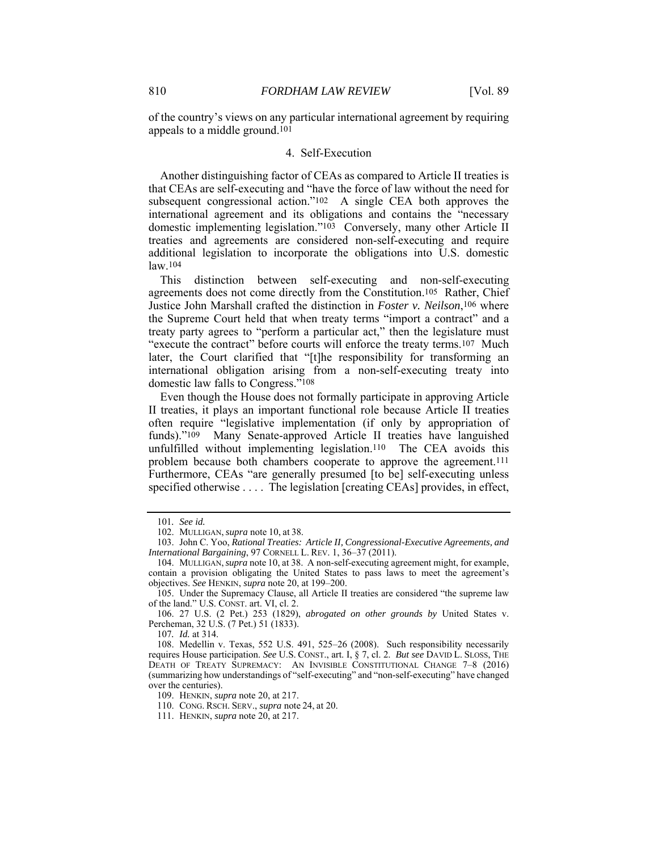of the country's views on any particular international agreement by requiring appeals to a middle ground.101

# 4. Self-Execution

Another distinguishing factor of CEAs as compared to Article II treaties is that CEAs are self-executing and "have the force of law without the need for subsequent congressional action."102 A single CEA both approves the international agreement and its obligations and contains the "necessary domestic implementing legislation."103 Conversely, many other Article II treaties and agreements are considered non-self-executing and require additional legislation to incorporate the obligations into U.S. domestic law.104

This distinction between self-executing and non-self-executing agreements does not come directly from the Constitution.105 Rather, Chief Justice John Marshall crafted the distinction in *Foster v. Neilson*,106 where the Supreme Court held that when treaty terms "import a contract" and a treaty party agrees to "perform a particular act," then the legislature must "execute the contract" before courts will enforce the treaty terms.107 Much later, the Court clarified that "[t]he responsibility for transforming an international obligation arising from a non-self-executing treaty into domestic law falls to Congress."108

Even though the House does not formally participate in approving Article II treaties, it plays an important functional role because Article II treaties often require "legislative implementation (if only by appropriation of funds)."109 Many Senate-approved Article II treaties have languished unfulfilled without implementing legislation.110 The CEA avoids this problem because both chambers cooperate to approve the agreement.111 Furthermore, CEAs "are generally presumed [to be] self-executing unless specified otherwise . . . . The legislation [creating CEAs] provides, in effect,

107*. Id.* at 314.

<sup>101</sup>*. See id.*

 <sup>102.</sup> MULLIGAN, *supra* note 10, at 38.

 <sup>103.</sup> John C. Yoo, *Rational Treaties: Article II, Congressional-Executive Agreements, and International Bargaining*, 97 CORNELL L. REV. 1, 36–37 (2011).

 <sup>104.</sup> MULLIGAN,*supra* note 10, at 38. A non-self-executing agreement might, for example, contain a provision obligating the United States to pass laws to meet the agreement's objectives. *See* HENKIN, *supra* note 20, at 199–200.

 <sup>105.</sup> Under the Supremacy Clause, all Article II treaties are considered "the supreme law of the land." U.S. CONST. art. VI, cl. 2.

 <sup>106. 27</sup> U.S. (2 Pet.) 253 (1829), *abrogated on other grounds by* United States v. Percheman, 32 U.S. (7 Pet.) 51 (1833).

 <sup>108.</sup> Medellin v. Texas, 552 U.S. 491, 525–26 (2008). Such responsibility necessarily requires House participation. *See* U.S. CONST., art. I, § 7, cl. 2. *But see* DAVID L. SLOSS, THE DEATH OF TREATY SUPREMACY: AN INVISIBLE CONSTITUTIONAL CHANGE 7–8 (2016) (summarizing how understandings of "self-executing" and "non-self-executing" have changed over the centuries).

 <sup>109.</sup> HENKIN, *supra* note 20, at 217.

 <sup>110.</sup> CONG. RSCH. SERV., *supra* note 24, at 20.

 <sup>111.</sup> HENKIN, *supra* note 20, at 217.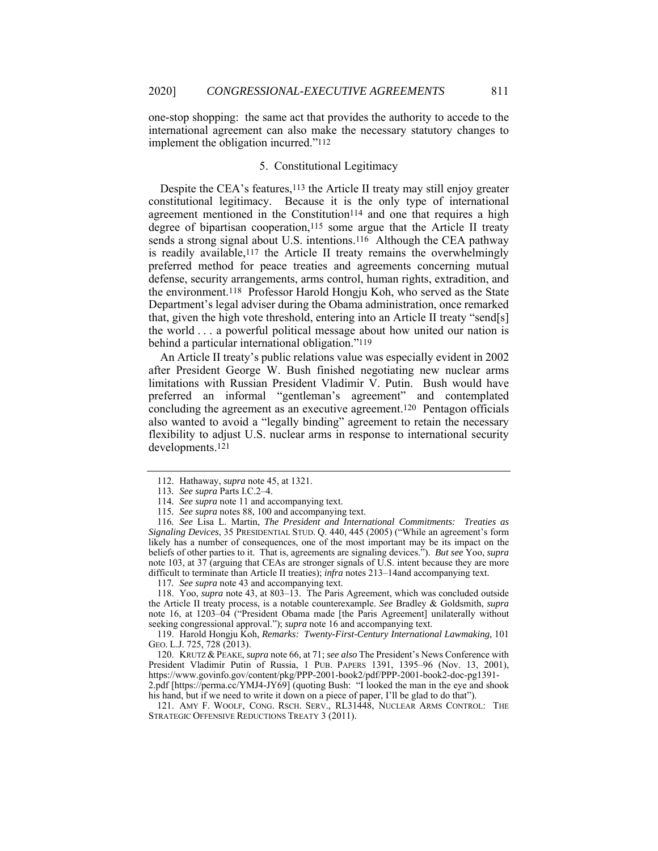one-stop shopping: the same act that provides the authority to accede to the international agreement can also make the necessary statutory changes to implement the obligation incurred."112

# 5. Constitutional Legitimacy

Despite the CEA's features,<sup>113</sup> the Article II treaty may still enjoy greater constitutional legitimacy. Because it is the only type of international agreement mentioned in the Constitution $114$  and one that requires a high degree of bipartisan cooperation,<sup>115</sup> some argue that the Article II treaty sends a strong signal about U.S. intentions.<sup>116</sup> Although the CEA pathway is readily available,<sup>117</sup> the Article II treaty remains the overwhelmingly preferred method for peace treaties and agreements concerning mutual defense, security arrangements, arms control, human rights, extradition, and the environment.118 Professor Harold Hongju Koh, who served as the State Department's legal adviser during the Obama administration, once remarked that, given the high vote threshold, entering into an Article II treaty "send[s] the world . . . a powerful political message about how united our nation is behind a particular international obligation."119

An Article II treaty's public relations value was especially evident in 2002 after President George W. Bush finished negotiating new nuclear arms limitations with Russian President Vladimir V. Putin. Bush would have preferred an informal "gentleman's agreement" and contemplated concluding the agreement as an executive agreement.120 Pentagon officials also wanted to avoid a "legally binding" agreement to retain the necessary flexibility to adjust U.S. nuclear arms in response to international security developments.121

 <sup>112.</sup> Hathaway, *supra* note 45, at 1321.

<sup>113</sup>*. See supra* Parts I.C.2–4.

<sup>114</sup>*. See supra* note 11 and accompanying text.

<sup>115</sup>*. See supra* notes 88, 100 and accompanying text.

<sup>116</sup>*. See* Lisa L. Martin, *The President and International Commitments: Treaties as Signaling Devices*, 35 PRESIDENTIAL STUD. Q. 440, 445 (2005) ("While an agreement's form likely has a number of consequences, one of the most important may be its impact on the beliefs of other parties to it. That is, agreements are signaling devices."). *But see* Yoo, *supra* note 103, at 37 (arguing that CEAs are stronger signals of U.S. intent because they are more difficult to terminate than Article II treaties); *infra* notes 213–14and accompanying text.

<sup>117</sup>*. See supra* note 43 and accompanying text.

 <sup>118.</sup> Yoo, *supra* note 43, at 803–13. The Paris Agreement, which was concluded outside the Article II treaty process, is a notable counterexample. *See* Bradley & Goldsmith, *supra* note 16, at 1203–04 ("President Obama made [the Paris Agreement] unilaterally without seeking congressional approval."); *supra* note 16 and accompanying text.

 <sup>119.</sup> Harold Hongju Koh, *Remarks: Twenty-First-Century International Lawmaking*, 101 GEO. L.J. 725, 728 (2013).

 <sup>120.</sup> KRUTZ & PEAKE, *supra* note 66, at 71; *see also* The President's News Conference with President Vladimir Putin of Russia, 1 PUB. PAPERS 1391, 1395–96 (Nov. 13, 2001), https://www.govinfo.gov/content/pkg/PPP-2001-book2/pdf/PPP-2001-book2-doc-pg1391- 2.pdf [https://perma.cc/YMJ4-JY69] (quoting Bush: "I looked the man in the eye and shook his hand, but if we need to write it down on a piece of paper, I'll be glad to do that").

 <sup>121.</sup> AMY F. WOOLF, CONG. RSCH. SERV., RL31448, NUCLEAR ARMS CONTROL: THE STRATEGIC OFFENSIVE REDUCTIONS TREATY 3 (2011).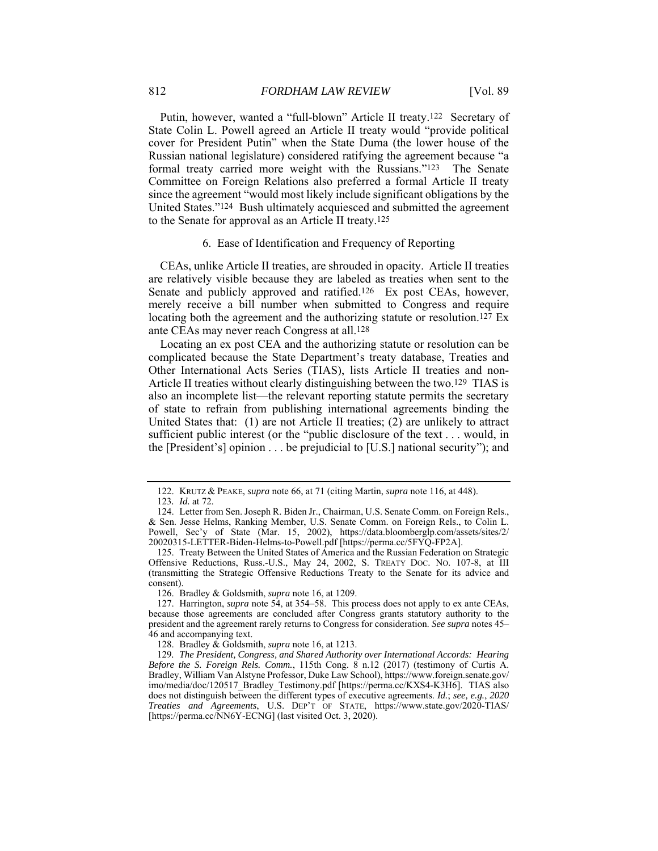Putin, however, wanted a "full-blown" Article II treaty.122 Secretary of State Colin L. Powell agreed an Article II treaty would "provide political cover for President Putin" when the State Duma (the lower house of the Russian national legislature) considered ratifying the agreement because "a formal treaty carried more weight with the Russians."123 The Senate Committee on Foreign Relations also preferred a formal Article II treaty since the agreement "would most likely include significant obligations by the United States."124 Bush ultimately acquiesced and submitted the agreement to the Senate for approval as an Article II treaty.125

## 6. Ease of Identification and Frequency of Reporting

CEAs, unlike Article II treaties, are shrouded in opacity. Article II treaties are relatively visible because they are labeled as treaties when sent to the Senate and publicly approved and ratified.<sup>126</sup> Ex post CEAs, however, merely receive a bill number when submitted to Congress and require locating both the agreement and the authorizing statute or resolution.<sup>127</sup> Ex ante CEAs may never reach Congress at all.128

Locating an ex post CEA and the authorizing statute or resolution can be complicated because the State Department's treaty database, Treaties and Other International Acts Series (TIAS), lists Article II treaties and non-Article II treaties without clearly distinguishing between the two.129 TIAS is also an incomplete list—the relevant reporting statute permits the secretary of state to refrain from publishing international agreements binding the United States that: (1) are not Article II treaties; (2) are unlikely to attract sufficient public interest (or the "public disclosure of the text . . . would, in the [President's] opinion . . . be prejudicial to [U.S.] national security"); and

126. Bradley & Goldsmith, *supra* note 16, at 1209.

 <sup>122.</sup> KRUTZ & PEAKE, *supra* note 66, at 71 (citing Martin, *supra* note 116, at 448).

<sup>123</sup>*. Id.* at 72.

 <sup>124.</sup> Letter from Sen. Joseph R. Biden Jr., Chairman, U.S. Senate Comm. on Foreign Rels., & Sen. Jesse Helms, Ranking Member, U.S. Senate Comm. on Foreign Rels., to Colin L. Powell, Sec'y of State (Mar. 15, 2002), https://data.bloomberglp.com/assets/sites/2/ 20020315-LETTER-Biden-Helms-to-Powell.pdf [https://perma.cc/5FYQ-FP2A].

 <sup>125.</sup> Treaty Between the United States of America and the Russian Federation on Strategic Offensive Reductions, Russ.-U.S., May 24, 2002, S. TREATY DOC. NO. 107-8, at III (transmitting the Strategic Offensive Reductions Treaty to the Senate for its advice and consent).

 <sup>127.</sup> Harrington, *supra* note 54, at 354–58. This process does not apply to ex ante CEAs, because those agreements are concluded after Congress grants statutory authority to the president and the agreement rarely returns to Congress for consideration. *See supra* notes 45– 46 and accompanying text.

 <sup>128.</sup> Bradley & Goldsmith, *supra* note 16, at 1213.

<sup>129</sup>*. The President, Congress, and Shared Authority over International Accords: Hearing Before the S. Foreign Rels. Comm.*, 115th Cong. 8 n.12 (2017) (testimony of Curtis A. Bradley, William Van Alstyne Professor, Duke Law School), https://www.foreign.senate.gov/ imo/media/doc/120517\_Bradley\_Testimony.pdf [https://perma.cc/KXS4-K3H6]. TIAS also does not distinguish between the different types of executive agreements. *Id.*; *see, e.g.*, *2020 Treaties and Agreements*, U.S. DEP'T OF STATE, https://www.state.gov/2020-TIAS/ [https://perma.cc/NN6Y-ECNG] (last visited Oct. 3, 2020).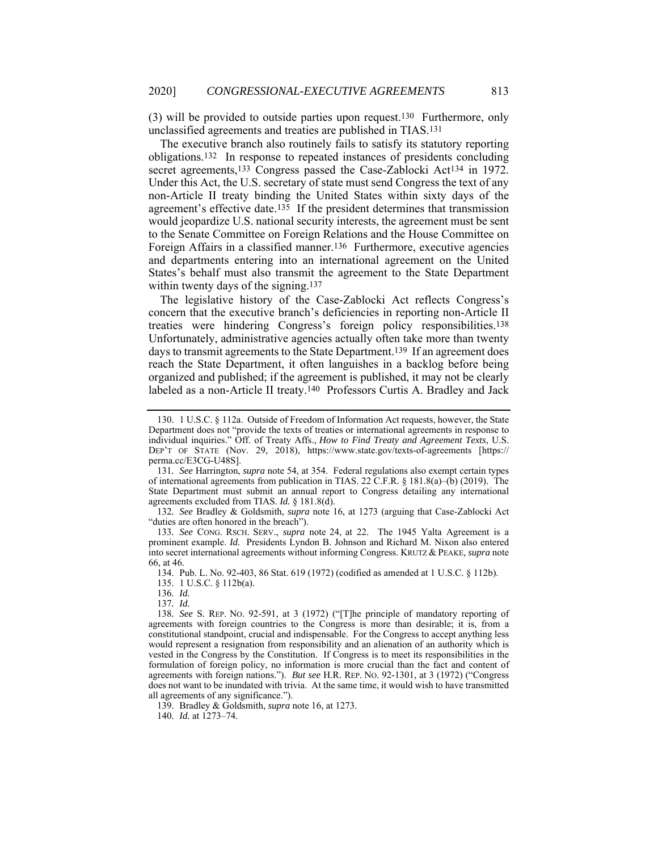(3) will be provided to outside parties upon request.130 Furthermore, only unclassified agreements and treaties are published in TIAS.131

The executive branch also routinely fails to satisfy its statutory reporting obligations.132 In response to repeated instances of presidents concluding secret agreements,<sup>133</sup> Congress passed the Case-Zablocki Act<sup>134</sup> in 1972. Under this Act, the U.S. secretary of state must send Congress the text of any non-Article II treaty binding the United States within sixty days of the agreement's effective date.135 If the president determines that transmission would jeopardize U.S. national security interests, the agreement must be sent to the Senate Committee on Foreign Relations and the House Committee on Foreign Affairs in a classified manner.136 Furthermore, executive agencies and departments entering into an international agreement on the United States's behalf must also transmit the agreement to the State Department within twenty days of the signing.<sup>137</sup>

The legislative history of the Case-Zablocki Act reflects Congress's concern that the executive branch's deficiencies in reporting non-Article II treaties were hindering Congress's foreign policy responsibilities.138 Unfortunately, administrative agencies actually often take more than twenty days to transmit agreements to the State Department.139 If an agreement does reach the State Department, it often languishes in a backlog before being organized and published; if the agreement is published, it may not be clearly labeled as a non-Article II treaty.140 Professors Curtis A. Bradley and Jack

132*. See* Bradley & Goldsmith, *supra* note 16, at 1273 (arguing that Case-Zablocki Act "duties are often honored in the breach").

133*. See* CONG. RSCH. SERV., *supra* note 24, at 22. The 1945 Yalta Agreement is a prominent example. *Id.* Presidents Lyndon B. Johnson and Richard M. Nixon also entered into secret international agreements without informing Congress. KRUTZ & PEAKE, *supra* note 66, at 46.

134. Pub. L. No. 92-403, 86 Stat. 619 (1972) (codified as amended at 1 U.S.C. § 112b).

135. 1 U.S.C. § 112b(a).

136*. Id.*

137*. Id.*

138*. See* S. REP. NO. 92-591, at 3 (1972) ("[T]he principle of mandatory reporting of agreements with foreign countries to the Congress is more than desirable; it is, from a constitutional standpoint, crucial and indispensable. For the Congress to accept anything less would represent a resignation from responsibility and an alienation of an authority which is vested in the Congress by the Constitution. If Congress is to meet its responsibilities in the formulation of foreign policy, no information is more crucial than the fact and content of agreements with foreign nations."). *But see* H.R. REP. NO. 92-1301, at 3 (1972) ("Congress does not want to be inundated with trivia. At the same time, it would wish to have transmitted all agreements of any significance.").

139. Bradley & Goldsmith, *supra* note 16, at 1273.

140*. Id.* at 1273–74.

 <sup>130. 1</sup> U.S.C. § 112a. Outside of Freedom of Information Act requests, however, the State Department does not "provide the texts of treaties or international agreements in response to individual inquiries." Off. of Treaty Affs., *How to Find Treaty and Agreement Texts*, U.S. DEP'T OF STATE (Nov. 29, 2018), https://www.state.gov/texts-of-agreements [https:// perma.cc/E3CG-U48S].

<sup>131</sup>*. See* Harrington, *supra* note 54, at 354. Federal regulations also exempt certain types of international agreements from publication in TIAS. 22 C.F.R. § 181.8(a)–(b) (2019). The State Department must submit an annual report to Congress detailing any international agreements excluded from TIAS. *Id.* § 181.8(d).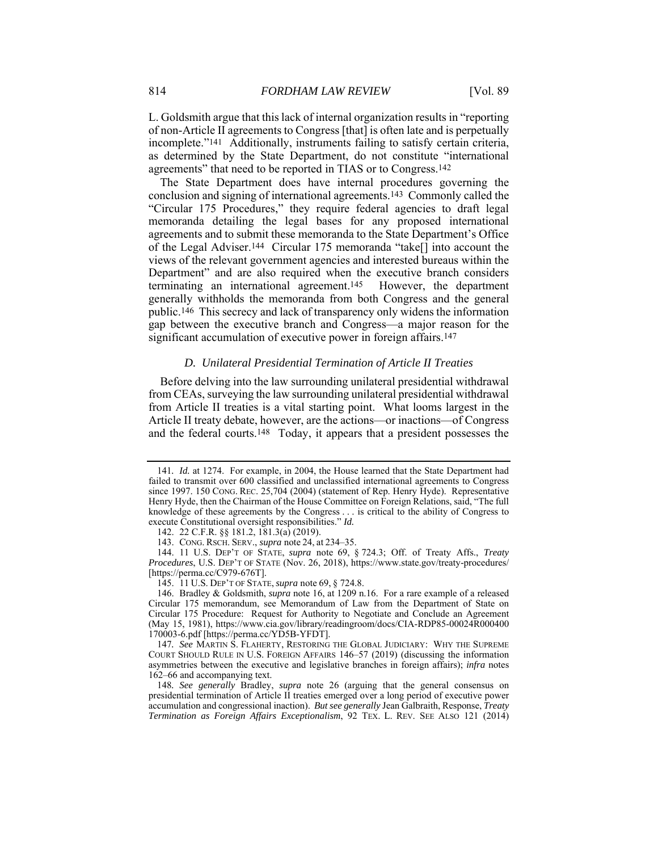L. Goldsmith argue that this lack of internal organization results in "reporting of non-Article II agreements to Congress [that] is often late and is perpetually incomplete."141 Additionally, instruments failing to satisfy certain criteria, as determined by the State Department, do not constitute "international agreements" that need to be reported in TIAS or to Congress.142

The State Department does have internal procedures governing the conclusion and signing of international agreements.143 Commonly called the "Circular 175 Procedures," they require federal agencies to draft legal memoranda detailing the legal bases for any proposed international agreements and to submit these memoranda to the State Department's Office of the Legal Adviser.144 Circular 175 memoranda "take[] into account the views of the relevant government agencies and interested bureaus within the Department" and are also required when the executive branch considers terminating an international agreement.145 However, the department generally withholds the memoranda from both Congress and the general public.146 This secrecy and lack of transparency only widens the information gap between the executive branch and Congress—a major reason for the significant accumulation of executive power in foreign affairs.<sup>147</sup>

#### *D. Unilateral Presidential Termination of Article II Treaties*

Before delving into the law surrounding unilateral presidential withdrawal from CEAs, surveying the law surrounding unilateral presidential withdrawal from Article II treaties is a vital starting point. What looms largest in the Article II treaty debate, however, are the actions—or inactions—of Congress and the federal courts.148 Today, it appears that a president possesses the

<sup>141</sup>*. Id.* at 1274. For example, in 2004, the House learned that the State Department had failed to transmit over 600 classified and unclassified international agreements to Congress since 1997. 150 CONG. REC. 25,704 (2004) (statement of Rep. Henry Hyde). Representative Henry Hyde, then the Chairman of the House Committee on Foreign Relations, said, "The full knowledge of these agreements by the Congress . . . is critical to the ability of Congress to execute Constitutional oversight responsibilities." *Id.*

 <sup>142. 22</sup> C.F.R. §§ 181.2, 181.3(a) (2019).

 <sup>143.</sup> CONG. RSCH. SERV., *supra* note 24, at 234–35.

 <sup>144. 11</sup> U.S. DEP'T OF STATE, *supra* note 69, § 724.3; Off. of Treaty Affs., *Treaty Procedures*, U.S. DEP'T OF STATE (Nov. 26, 2018), https://www.state.gov/treaty-procedures/ [https://perma.cc/C979-676T].

 <sup>145. 11</sup> U.S. DEP'T OF STATE, *supra* note 69, § 724.8.

 <sup>146.</sup> Bradley & Goldsmith, *supra* note 16, at 1209 n.16. For a rare example of a released Circular 175 memorandum, see Memorandum of Law from the Department of State on Circular 175 Procedure: Request for Authority to Negotiate and Conclude an Agreement (May 15, 1981), https://www.cia.gov/library/readingroom/docs/CIA-RDP85-00024R000400 170003-6.pdf [https://perma.cc/YD5B-YFDT].

<sup>147</sup>*. See* MARTIN S. FLAHERTY, RESTORING THE GLOBAL JUDICIARY: WHY THE SUPREME COURT SHOULD RULE IN U.S. FOREIGN AFFAIRS 146–57 (2019) (discussing the information asymmetries between the executive and legislative branches in foreign affairs); *infra* notes 162–66 and accompanying text.

<sup>148</sup>*. See generally* Bradley, *supra* note 26 (arguing that the general consensus on presidential termination of Article II treaties emerged over a long period of executive power accumulation and congressional inaction). *But see generally* Jean Galbraith, Response, *Treaty Termination as Foreign Affairs Exceptionalism*, 92 TEX. L. REV. SEE ALSO 121 (2014)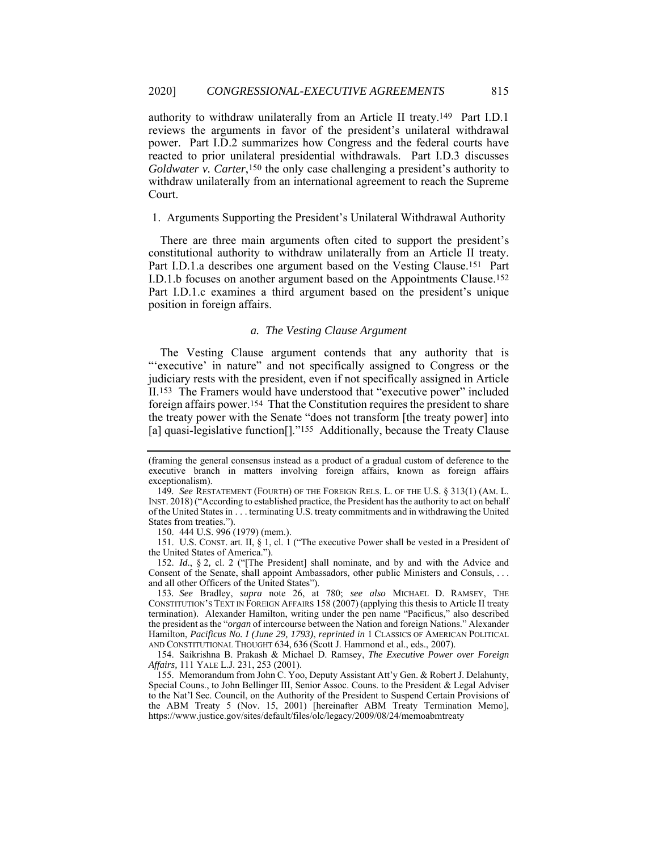authority to withdraw unilaterally from an Article II treaty.149 Part I.D.1 reviews the arguments in favor of the president's unilateral withdrawal power. Part I.D.2 summarizes how Congress and the federal courts have reacted to prior unilateral presidential withdrawals. Part I.D.3 discusses *Goldwater v. Carter*,150 the only case challenging a president's authority to withdraw unilaterally from an international agreement to reach the Supreme Court.

# 1. Arguments Supporting the President's Unilateral Withdrawal Authority

There are three main arguments often cited to support the president's constitutional authority to withdraw unilaterally from an Article II treaty. Part I.D.1.a describes one argument based on the Vesting Clause.151 Part I.D.1.b focuses on another argument based on the Appointments Clause.152 Part I.D.1.c examines a third argument based on the president's unique position in foreign affairs.

# *a. The Vesting Clause Argument*

The Vesting Clause argument contends that any authority that is "'executive' in nature" and not specifically assigned to Congress or the judiciary rests with the president, even if not specifically assigned in Article II.153 The Framers would have understood that "executive power" included foreign affairs power.154 That the Constitution requires the president to share the treaty power with the Senate "does not transform [the treaty power] into [a] quasi-legislative function<sup>[]</sup>."<sup>155</sup> Additionally, because the Treaty Clause

150. 444 U.S. 996 (1979) (mem.).

 151. U.S. CONST. art. II, § 1, cl. 1 ("The executive Power shall be vested in a President of the United States of America.").

 152. *Id*., § 2*,* cl. 2 ("[The President] shall nominate, and by and with the Advice and Consent of the Senate, shall appoint Ambassadors, other public Ministers and Consuls, . . . and all other Officers of the United States").

153*. See* Bradley, *supra* note 26, at 780; *see also* MICHAEL D. RAMSEY, THE CONSTITUTION'S TEXT IN FOREIGN AFFAIRS 158 (2007) (applying this thesis to Article II treaty termination). Alexander Hamilton, writing under the pen name "Pacificus," also described the president as the "*organ* of intercourse between the Nation and foreign Nations." Alexander Hamilton, *Pacificus No. I (June 29, 1793)*, *reprinted in* 1 CLASSICS OF AMERICAN POLITICAL AND CONSTITUTIONAL THOUGHT 634, 636 (Scott J. Hammond et al., eds., 2007).

 154. Saikrishna B. Prakash & Michael D. Ramsey, *The Executive Power over Foreign Affairs,* 111 YALE L.J. 231, 253 (2001).

 155. Memorandum from John C. Yoo, Deputy Assistant Att'y Gen. & Robert J. Delahunty, Special Couns., to John Bellinger III, Senior Assoc. Couns. to the President & Legal Adviser to the Nat'l Sec. Council, on the Authority of the President to Suspend Certain Provisions of the ABM Treaty 5 (Nov. 15, 2001) [hereinafter ABM Treaty Termination Memo], https://www.justice.gov/sites/default/files/olc/legacy/2009/08/24/memoabmtreaty

<sup>(</sup>framing the general consensus instead as a product of a gradual custom of deference to the executive branch in matters involving foreign affairs, known as foreign affairs exceptionalism).

<sup>149</sup>*. See* RESTATEMENT (FOURTH) OF THE FOREIGN RELS. L. OF THE U.S. § 313(1) (AM. L. INST. 2018) ("According to established practice, the President has the authority to act on behalf of the United States in . . . terminating U.S. treaty commitments and in withdrawing the United States from treaties.").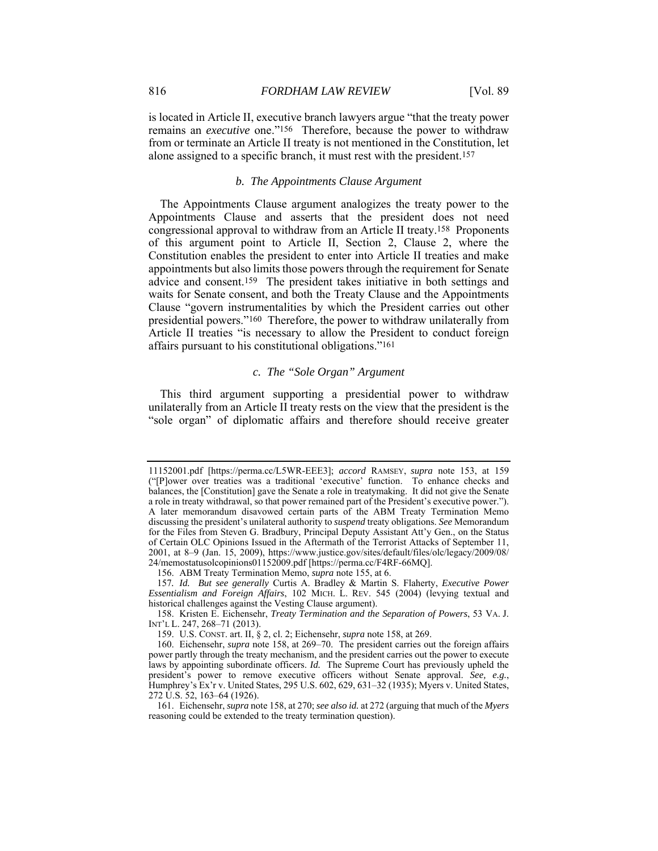is located in Article II, executive branch lawyers argue "that the treaty power remains an *executive* one."156 Therefore, because the power to withdraw from or terminate an Article II treaty is not mentioned in the Constitution, let alone assigned to a specific branch, it must rest with the president.157

### *b. The Appointments Clause Argument*

The Appointments Clause argument analogizes the treaty power to the Appointments Clause and asserts that the president does not need congressional approval to withdraw from an Article II treaty.158 Proponents of this argument point to Article II, Section 2, Clause 2, where the Constitution enables the president to enter into Article II treaties and make appointments but also limits those powers through the requirement for Senate advice and consent.159 The president takes initiative in both settings and waits for Senate consent, and both the Treaty Clause and the Appointments Clause "govern instrumentalities by which the President carries out other presidential powers."160 Therefore, the power to withdraw unilaterally from Article II treaties "is necessary to allow the President to conduct foreign affairs pursuant to his constitutional obligations."161

# *c. The "Sole Organ" Argument*

This third argument supporting a presidential power to withdraw unilaterally from an Article II treaty rests on the view that the president is the "sole organ" of diplomatic affairs and therefore should receive greater

<sup>11152001.</sup>pdf [https://perma.cc/L5WR-EEE3]; *accord* RAMSEY, *supra* note 153, at 159 ("[P]ower over treaties was a traditional 'executive' function. To enhance checks and balances, the [Constitution] gave the Senate a role in treatymaking. It did not give the Senate a role in treaty withdrawal, so that power remained part of the President's executive power."). A later memorandum disavowed certain parts of the ABM Treaty Termination Memo discussing the president's unilateral authority to *suspend* treaty obligations. *See* Memorandum for the Files from Steven G. Bradbury, Principal Deputy Assistant Att'y Gen., on the Status of Certain OLC Opinions Issued in the Aftermath of the Terrorist Attacks of September 11, 2001, at 8–9 (Jan. 15, 2009), https://www.justice.gov/sites/default/files/olc/legacy/2009/08/ 24/memostatusolcopinions01152009.pdf [https://perma.cc/F4RF-66MQ].

 <sup>156.</sup> ABM Treaty Termination Memo, *supra* note 155, at 6.

<sup>157</sup>*. Id. But see generally* Curtis A. Bradley & Martin S. Flaherty, *Executive Power Essentialism and Foreign Affairs*, 102 MICH. L. REV. 545 (2004) (levying textual and historical challenges against the Vesting Clause argument).

 <sup>158.</sup> Kristen E. Eichensehr, *Treaty Termination and the Separation of Powers*, 53 VA. J. INT'L L. 247, 268–71 (2013).

 <sup>159.</sup> U.S. CONST. art. II, § 2, cl. 2; Eichensehr, *supra* note 158, at 269.

 <sup>160.</sup> Eichensehr, *supra* note 158, at 269–70. The president carries out the foreign affairs power partly through the treaty mechanism, and the president carries out the power to execute laws by appointing subordinate officers. *Id.* The Supreme Court has previously upheld the president's power to remove executive officers without Senate approval. *See, e.g.*, Humphrey's Ex'r v. United States, 295 U.S. 602, 629, 631–32 (1935); Myers v. United States, 272 U.S. 52, 163–64 (1926).

 <sup>161.</sup> Eichensehr, *supra* note 158, at 270; *see also id.* at 272 (arguing that much of the *Myers* reasoning could be extended to the treaty termination question).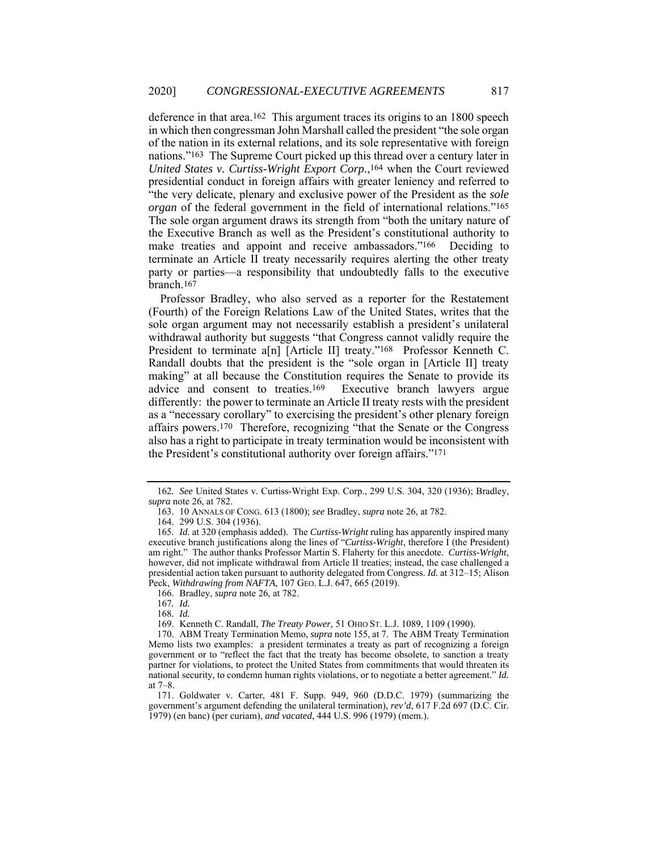deference in that area.162 This argument traces its origins to an 1800 speech in which then congressman John Marshall called the president "the sole organ of the nation in its external relations, and its sole representative with foreign nations."163 The Supreme Court picked up this thread over a century later in *United States v. Curtiss-Wright Export Corp.*,164 when the Court reviewed presidential conduct in foreign affairs with greater leniency and referred to "the very delicate, plenary and exclusive power of the President as the *sole organ* of the federal government in the field of international relations."165 The sole organ argument draws its strength from "both the unitary nature of the Executive Branch as well as the President's constitutional authority to make treaties and appoint and receive ambassadors."166 Deciding to terminate an Article II treaty necessarily requires alerting the other treaty party or parties—a responsibility that undoubtedly falls to the executive branch.167

Professor Bradley, who also served as a reporter for the Restatement (Fourth) of the Foreign Relations Law of the United States, writes that the sole organ argument may not necessarily establish a president's unilateral withdrawal authority but suggests "that Congress cannot validly require the President to terminate a[n] [Article II] treaty."<sup>168</sup> Professor Kenneth C. Randall doubts that the president is the "sole organ in [Article II] treaty making" at all because the Constitution requires the Senate to provide its advice and consent to treaties.169 Executive branch lawyers argue differently: the power to terminate an Article II treaty rests with the president as a "necessary corollary" to exercising the president's other plenary foreign affairs powers.170 Therefore, recognizing "that the Senate or the Congress also has a right to participate in treaty termination would be inconsistent with the President's constitutional authority over foreign affairs."171

<sup>162</sup>*. See* United States v. Curtiss-Wright Exp. Corp., 299 U.S. 304, 320 (1936); Bradley, *supra* note 26, at 782.

 <sup>163. 10</sup> ANNALS OF CONG. 613 (1800); *see* Bradley, *supra* note 26, at 782.

 <sup>164. 299</sup> U.S. 304 (1936).

<sup>165</sup>*. Id.* at 320 (emphasis added). The *Curtiss-Wright* ruling has apparently inspired many executive branch justifications along the lines of "*Curtiss-Wright*, therefore I (the President) am right." The author thanks Professor Martin S. Flaherty for this anecdote. *Curtiss-Wright*, however, did not implicate withdrawal from Article II treaties; instead, the case challenged a presidential action taken pursuant to authority delegated from Congress. *Id.* at 312–15; Alison Peck, *Withdrawing from NAFTA*, 107 GEO. L.J. 647, 665 (2019).

 <sup>166.</sup> Bradley, *supra* note 26, at 782.

<sup>167</sup>*. Id.*

<sup>168</sup>*. Id.*

 <sup>169.</sup> Kenneth C. Randall, *The Treaty Power*, 51 OHIO ST. L.J. 1089, 1109 (1990).

 <sup>170.</sup> ABM Treaty Termination Memo, *supra* note 155, at 7. The ABM Treaty Termination Memo lists two examples: a president terminates a treaty as part of recognizing a foreign government or to "reflect the fact that the treaty has become obsolete, to sanction a treaty partner for violations, to protect the United States from commitments that would threaten its national security, to condemn human rights violations, or to negotiate a better agreement." *Id.* at 7–8.

 <sup>171.</sup> Goldwater v. Carter, 481 F. Supp. 949, 960 (D.D.C. 1979) (summarizing the government's argument defending the unilateral termination), *rev'd*, 617 F.2d 697 (D.C. Cir. 1979) (en banc) (per curiam), *and vacated*, 444 U.S. 996 (1979) (mem.).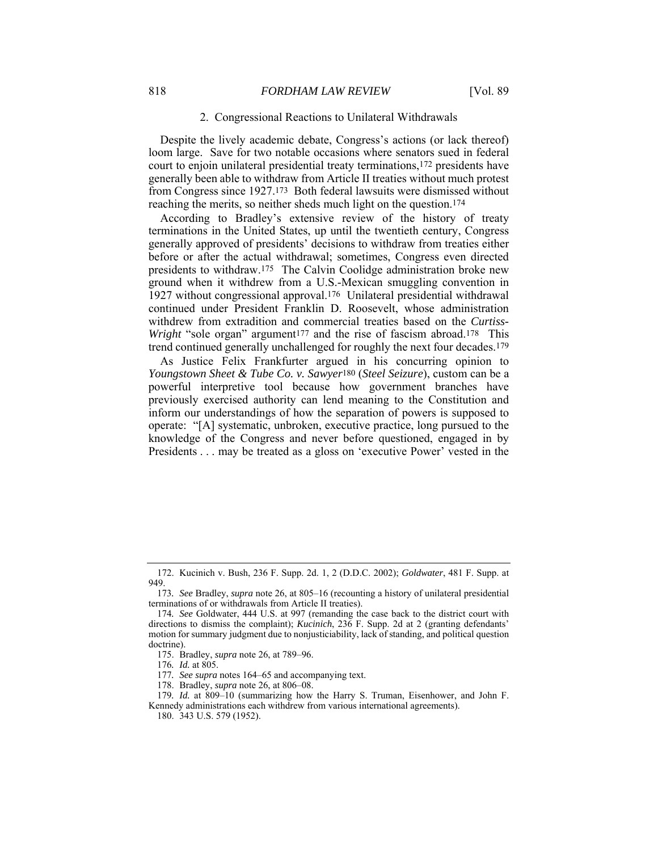## 2. Congressional Reactions to Unilateral Withdrawals

Despite the lively academic debate, Congress's actions (or lack thereof) loom large. Save for two notable occasions where senators sued in federal court to enjoin unilateral presidential treaty terminations,172 presidents have generally been able to withdraw from Article II treaties without much protest from Congress since 1927.173 Both federal lawsuits were dismissed without reaching the merits, so neither sheds much light on the question.174

According to Bradley's extensive review of the history of treaty terminations in the United States, up until the twentieth century, Congress generally approved of presidents' decisions to withdraw from treaties either before or after the actual withdrawal; sometimes, Congress even directed presidents to withdraw.175 The Calvin Coolidge administration broke new ground when it withdrew from a U.S.-Mexican smuggling convention in 1927 without congressional approval.176 Unilateral presidential withdrawal continued under President Franklin D. Roosevelt, whose administration withdrew from extradition and commercial treaties based on the *Curtiss-Wright* "sole organ" argument<sup>177</sup> and the rise of fascism abroad.<sup>178</sup> This trend continued generally unchallenged for roughly the next four decades.179

As Justice Felix Frankfurter argued in his concurring opinion to *Youngstown Sheet & Tube Co. v. Sawyer*180 (*Steel Seizure*), custom can be a powerful interpretive tool because how government branches have previously exercised authority can lend meaning to the Constitution and inform our understandings of how the separation of powers is supposed to operate: "[A] systematic, unbroken, executive practice, long pursued to the knowledge of the Congress and never before questioned, engaged in by Presidents . . . may be treated as a gloss on 'executive Power' vested in the

 <sup>172.</sup> Kucinich v. Bush, 236 F. Supp. 2d. 1, 2 (D.D.C. 2002); *Goldwater*, 481 F. Supp. at 949.

<sup>173</sup>*. See* Bradley, *supra* note 26, at 805–16 (recounting a history of unilateral presidential terminations of or withdrawals from Article II treaties).

<sup>174</sup>*. See* Goldwater, 444 U.S. at 997 (remanding the case back to the district court with directions to dismiss the complaint); *Kucinich*, 236 F. Supp. 2d at 2 (granting defendants' motion for summary judgment due to nonjusticiability, lack of standing, and political question doctrine).

 <sup>175.</sup> Bradley, *supra* note 26, at 789–96.

<sup>176</sup>*. Id.* at 805.

<sup>177</sup>*. See supra* notes 164–65 and accompanying text.

 <sup>178.</sup> Bradley, *supra* note 26, at 806–08.

<sup>179</sup>*. Id.* at 809–10 (summarizing how the Harry S. Truman, Eisenhower, and John F. Kennedy administrations each withdrew from various international agreements).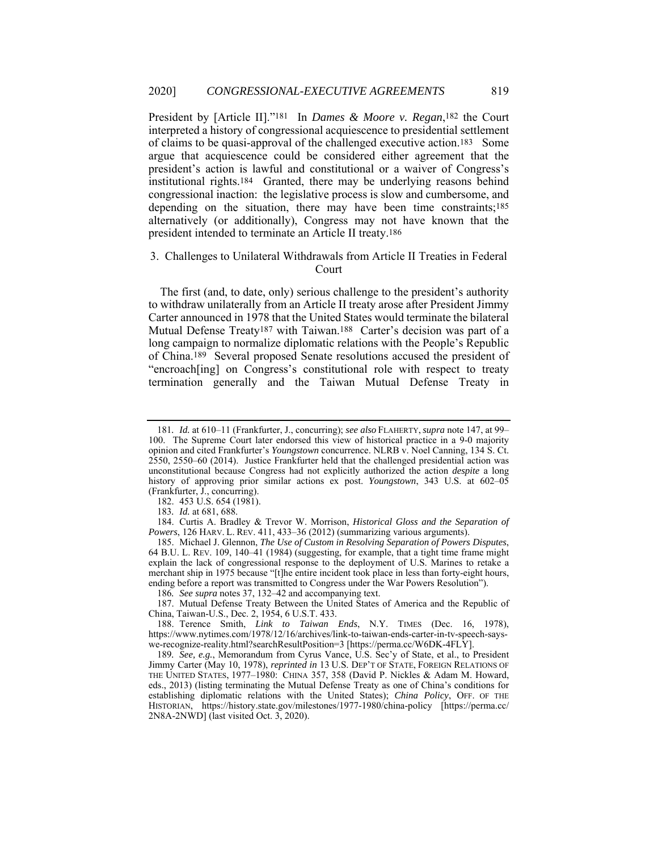President by [Article II]."181 In *Dames & Moore v. Regan*,182 the Court interpreted a history of congressional acquiescence to presidential settlement of claims to be quasi-approval of the challenged executive action.183 Some argue that acquiescence could be considered either agreement that the president's action is lawful and constitutional or a waiver of Congress's institutional rights.184 Granted, there may be underlying reasons behind congressional inaction: the legislative process is slow and cumbersome, and depending on the situation, there may have been time constraints;185 alternatively (or additionally), Congress may not have known that the president intended to terminate an Article II treaty.186

# 3. Challenges to Unilateral Withdrawals from Article II Treaties in Federal Court

The first (and, to date, only) serious challenge to the president's authority to withdraw unilaterally from an Article II treaty arose after President Jimmy Carter announced in 1978 that the United States would terminate the bilateral Mutual Defense Treaty<sup>187</sup> with Taiwan.<sup>188</sup> Carter's decision was part of a long campaign to normalize diplomatic relations with the People's Republic of China.189 Several proposed Senate resolutions accused the president of "encroach[ing] on Congress's constitutional role with respect to treaty termination generally and the Taiwan Mutual Defense Treaty in

<sup>181</sup>*. Id.* at 610–11 (Frankfurter, J., concurring); *see also* FLAHERTY,*supra* note 147, at 99– 100. The Supreme Court later endorsed this view of historical practice in a 9-0 majority opinion and cited Frankfurter's *Youngstown* concurrence. NLRB v. Noel Canning, 134 S. Ct. 2550, 2550–60 (2014). Justice Frankfurter held that the challenged presidential action was unconstitutional because Congress had not explicitly authorized the action *despite* a long history of approving prior similar actions ex post. *Youngstown*, 343 U.S. at 602–05 (Frankfurter, J., concurring).

 <sup>182. 453</sup> U.S. 654 (1981).

<sup>183</sup>*. Id.* at 681, 688.

 <sup>184.</sup> Curtis A. Bradley & Trevor W. Morrison, *Historical Gloss and the Separation of Powers*, 126 HARV. L. REV. 411, 433–36 (2012) (summarizing various arguments).

 <sup>185.</sup> Michael J. Glennon, *The Use of Custom in Resolving Separation of Powers Disputes*, 64 B.U. L. REV. 109, 140–41 (1984) (suggesting, for example, that a tight time frame might explain the lack of congressional response to the deployment of U.S. Marines to retake a merchant ship in 1975 because "[t]he entire incident took place in less than forty-eight hours, ending before a report was transmitted to Congress under the War Powers Resolution").

<sup>186</sup>*. See supra* notes 37, 132–42 and accompanying text.

 <sup>187.</sup> Mutual Defense Treaty Between the United States of America and the Republic of China, Taiwan-U.S., Dec. 2, 1954, 6 U.S.T. 433.

 <sup>188.</sup> Terence Smith, *Link to Taiwan Ends*, N.Y. TIMES (Dec. 16, 1978), https://www.nytimes.com/1978/12/16/archives/link-to-taiwan-ends-carter-in-tv-speech-sayswe-recognize-reality.html?searchResultPosition=3 [https://perma.cc/W6DK-4FLY].

<sup>189</sup>*. See, e.g.*, Memorandum from Cyrus Vance, U.S. Sec'y of State, et al., to President Jimmy Carter (May 10, 1978), *reprinted in* 13 U.S. DEP'T OF STATE, FOREIGN RELATIONS OF THE UNITED STATES, 1977–1980: CHINA 357, 358 (David P. Nickles & Adam M. Howard, eds., 2013) (listing terminating the Mutual Defense Treaty as one of China's conditions for establishing diplomatic relations with the United States); *China Policy*, OFF. OF THE HISTORIAN, https://history.state.gov/milestones/1977-1980/china-policy [https://perma.cc/ 2N8A-2NWD] (last visited Oct. 3, 2020).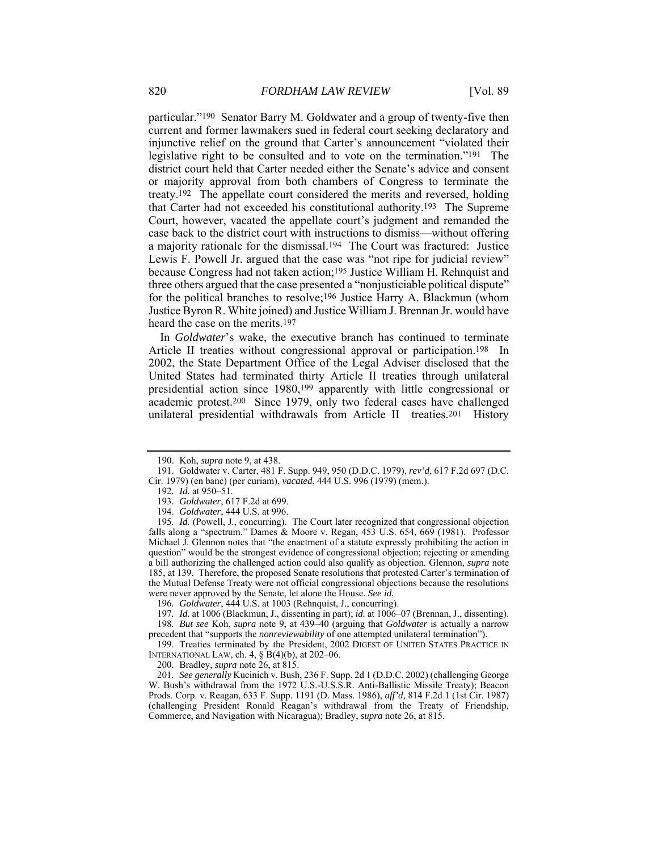particular."190 Senator Barry M. Goldwater and a group of twenty-five then current and former lawmakers sued in federal court seeking declaratory and injunctive relief on the ground that Carter's announcement "violated their legislative right to be consulted and to vote on the termination."191 The district court held that Carter needed either the Senate's advice and consent or majority approval from both chambers of Congress to terminate the treaty.192 The appellate court considered the merits and reversed, holding that Carter had not exceeded his constitutional authority.193 The Supreme Court, however, vacated the appellate court's judgment and remanded the case back to the district court with instructions to dismiss—without offering a majority rationale for the dismissal.194 The Court was fractured: Justice Lewis F. Powell Jr. argued that the case was "not ripe for judicial review" because Congress had not taken action;195 Justice William H. Rehnquist and three others argued that the case presented a "nonjusticiable political dispute" for the political branches to resolve;196 Justice Harry A. Blackmun (whom Justice Byron R. White joined) and Justice William J. Brennan Jr. would have heard the case on the merits.197

In *Goldwater*'s wake, the executive branch has continued to terminate Article II treaties without congressional approval or participation.198 In 2002, the State Department Office of the Legal Adviser disclosed that the United States had terminated thirty Article II treaties through unilateral presidential action since 1980,199 apparently with little congressional or academic protest.200 Since 1979, only two federal cases have challenged unilateral presidential withdrawals from Article II treaties.201 History

 <sup>190.</sup> Koh, *supra* note 9, at 438.

 <sup>191.</sup> Goldwater v. Carter, 481 F. Supp. 949, 950 (D.D.C. 1979), *rev'd*, 617 F.2d 697 (D.C. Cir. 1979) (en banc) (per curiam), *vacated*, 444 U.S. 996 (1979) (mem.).

<sup>192</sup>*. Id.* at 950–51.

 <sup>193.</sup> *Goldwater*, 617 F.2d at 699.

 <sup>194.</sup> *Goldwater*, 444 U.S. at 996.

<sup>195</sup>*. Id.* (Powell, J., concurring). The Court later recognized that congressional objection falls along a "spectrum." Dames & Moore v. Regan, 453 U.S. 654, 669 (1981). Professor Michael J. Glennon notes that "the enactment of a statute expressly prohibiting the action in question" would be the strongest evidence of congressional objection; rejecting or amending a bill authorizing the challenged action could also qualify as objection. Glennon, *supra* note 185, at 139. Therefore, the proposed Senate resolutions that protested Carter's termination of the Mutual Defense Treaty were not official congressional objections because the resolutions were never approved by the Senate, let alone the House. *See id.*

<sup>196</sup>*. Goldwater*, 444 U.S. at 1003 (Rehnquist, J., concurring).

<sup>197</sup>*. Id.* at 1006 (Blackmun, J., dissenting in part); *id.* at 1006–07 (Brennan, J., dissenting). 198*. But see* Koh, *supra* note 9, at 439–40 (arguing that *Goldwater* is actually a narrow

precedent that "supports the *nonreviewability* of one attempted unilateral termination"). 199. Treaties terminated by the President, 2002 DIGEST OF UNITED STATES PRACTICE IN INTERNATIONAL LAW, ch. 4, § B(4)(b), at 202–06.

 <sup>200.</sup> Bradley, *supra* note 26, at 815.

<sup>201</sup>*. See generally* Kucinich v. Bush, 236 F. Supp. 2d 1 (D.D.C. 2002) (challenging George W. Bush's withdrawal from the 1972 U.S.-U.S.S.R. Anti-Ballistic Missile Treaty); Beacon Prods. Corp. v. Reagan, 633 F. Supp. 1191 (D. Mass. 1986), *aff'd*, 814 F.2d 1 (1st Cir. 1987) (challenging President Ronald Reagan's withdrawal from the Treaty of Friendship, Commerce, and Navigation with Nicaragua); Bradley, *supra* note 26, at 815.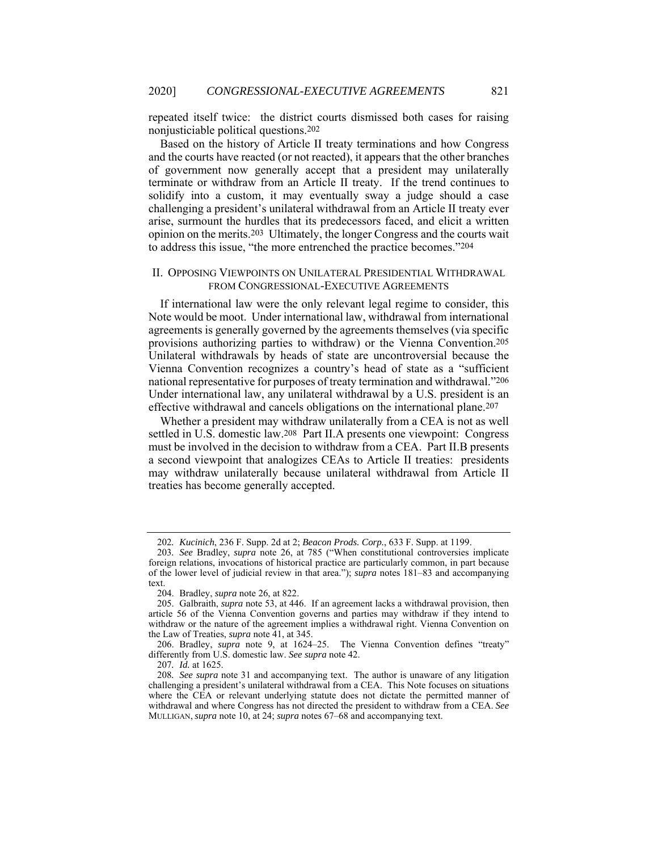repeated itself twice: the district courts dismissed both cases for raising nonjusticiable political questions.202

Based on the history of Article II treaty terminations and how Congress and the courts have reacted (or not reacted), it appears that the other branches of government now generally accept that a president may unilaterally terminate or withdraw from an Article II treaty. If the trend continues to solidify into a custom, it may eventually sway a judge should a case challenging a president's unilateral withdrawal from an Article II treaty ever arise, surmount the hurdles that its predecessors faced, and elicit a written opinion on the merits.203 Ultimately, the longer Congress and the courts wait to address this issue, "the more entrenched the practice becomes."204

# II. OPPOSING VIEWPOINTS ON UNILATERAL PRESIDENTIAL WITHDRAWAL FROM CONGRESSIONAL-EXECUTIVE AGREEMENTS

If international law were the only relevant legal regime to consider, this Note would be moot. Under international law, withdrawal from international agreements is generally governed by the agreements themselves (via specific provisions authorizing parties to withdraw) or the Vienna Convention.205 Unilateral withdrawals by heads of state are uncontroversial because the Vienna Convention recognizes a country's head of state as a "sufficient national representative for purposes of treaty termination and withdrawal."206 Under international law, any unilateral withdrawal by a U.S. president is an effective withdrawal and cancels obligations on the international plane.207

Whether a president may withdraw unilaterally from a CEA is not as well settled in U.S. domestic law.208 Part II.A presents one viewpoint: Congress must be involved in the decision to withdraw from a CEA. Part II.B presents a second viewpoint that analogizes CEAs to Article II treaties: presidents may withdraw unilaterally because unilateral withdrawal from Article II treaties has become generally accepted.

<sup>202</sup>*. Kucinich*, 236 F. Supp. 2d at 2; *Beacon Prods. Corp.*, 633 F. Supp. at 1199.

<sup>203</sup>*. See* Bradley, *supra* note 26, at 785 ("When constitutional controversies implicate foreign relations, invocations of historical practice are particularly common, in part because of the lower level of judicial review in that area."); *supra* notes 181–83 and accompanying text.

 <sup>204.</sup> Bradley, *supra* note 26, at 822.

 <sup>205.</sup> Galbraith, *supra* note 53, at 446. If an agreement lacks a withdrawal provision, then article 56 of the Vienna Convention governs and parties may withdraw if they intend to withdraw or the nature of the agreement implies a withdrawal right. Vienna Convention on the Law of Treaties, *supra* note 41, at 345.

 <sup>206.</sup> Bradley, *supra* note 9, at 1624–25. The Vienna Convention defines "treaty" differently from U.S. domestic law. *See supra* note 42.

<sup>207</sup>*. Id.* at 1625.

<sup>208</sup>*. See supra* note 31 and accompanying text. The author is unaware of any litigation challenging a president's unilateral withdrawal from a CEA. This Note focuses on situations where the CEA or relevant underlying statute does not dictate the permitted manner of withdrawal and where Congress has not directed the president to withdraw from a CEA. *See* MULLIGAN, *supra* note 10, at 24; *supra* notes 67–68 and accompanying text.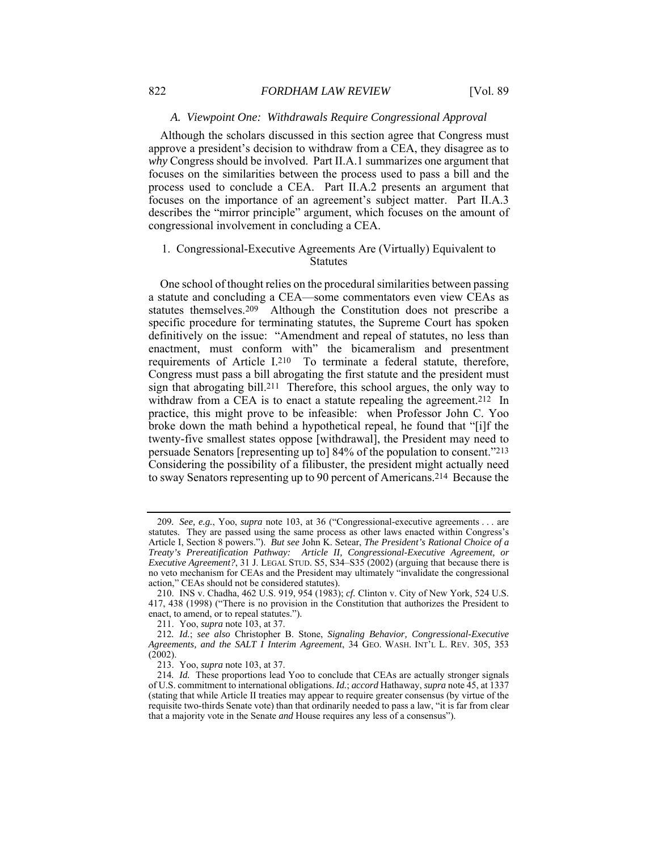# *A. Viewpoint One: Withdrawals Require Congressional Approval*

Although the scholars discussed in this section agree that Congress must approve a president's decision to withdraw from a CEA, they disagree as to *why* Congress should be involved. Part II.A.1 summarizes one argument that focuses on the similarities between the process used to pass a bill and the process used to conclude a CEA. Part II.A.2 presents an argument that focuses on the importance of an agreement's subject matter. Part II.A.3 describes the "mirror principle" argument, which focuses on the amount of congressional involvement in concluding a CEA.

# 1. Congressional-Executive Agreements Are (Virtually) Equivalent to **Statutes**

One school of thought relies on the procedural similarities between passing a statute and concluding a CEA—some commentators even view CEAs as statutes themselves.209 Although the Constitution does not prescribe a specific procedure for terminating statutes, the Supreme Court has spoken definitively on the issue: "Amendment and repeal of statutes, no less than enactment, must conform with" the bicameralism and presentment requirements of Article I.210 To terminate a federal statute, therefore, Congress must pass a bill abrogating the first statute and the president must sign that abrogating bill.211 Therefore, this school argues, the only way to withdraw from a CEA is to enact a statute repealing the agreement.<sup>212</sup> In practice, this might prove to be infeasible: when Professor John C. Yoo broke down the math behind a hypothetical repeal, he found that "[i]f the twenty-five smallest states oppose [withdrawal], the President may need to persuade Senators [representing up to] 84% of the population to consent."213 Considering the possibility of a filibuster, the president might actually need to sway Senators representing up to 90 percent of Americans.214 Because the

<sup>209</sup>*. See, e.g.*, Yoo, *supra* note 103, at 36 ("Congressional-executive agreements . . . are statutes. They are passed using the same process as other laws enacted within Congress's Article I, Section 8 powers."). *But see* John K. Setear, *The President's Rational Choice of a Treaty's Prereatification Pathway: Article II, Congressional-Executive Agreement, or Executive Agreement?*, 31 J. LEGAL STUD. S5, S34–S35 (2002) (arguing that because there is no veto mechanism for CEAs and the President may ultimately "invalidate the congressional action," CEAs should not be considered statutes).

 <sup>210.</sup> INS v. Chadha, 462 U.S. 919, 954 (1983); *cf.* Clinton v. City of New York, 524 U.S. 417, 438 (1998) ("There is no provision in the Constitution that authorizes the President to enact, to amend, or to repeal statutes.").

 <sup>211.</sup> Yoo, *supra* note 103, at 37.

<sup>212</sup>*. Id.*; *see also* Christopher B. Stone, *Signaling Behavior, Congressional-Executive Agreements, and the SALT I Interim Agreement*, 34 GEO. WASH. INT'L L. REV. 305, 353 (2002).

 <sup>213.</sup> Yoo, *supra* note 103, at 37.

<sup>214</sup>*. Id.* These proportions lead Yoo to conclude that CEAs are actually stronger signals of U.S. commitment to international obligations. *Id.*; *accord* Hathaway, *supra* note 45, at 1337 (stating that while Article II treaties may appear to require greater consensus (by virtue of the requisite two-thirds Senate vote) than that ordinarily needed to pass a law, "it is far from clear that a majority vote in the Senate *and* House requires any less of a consensus").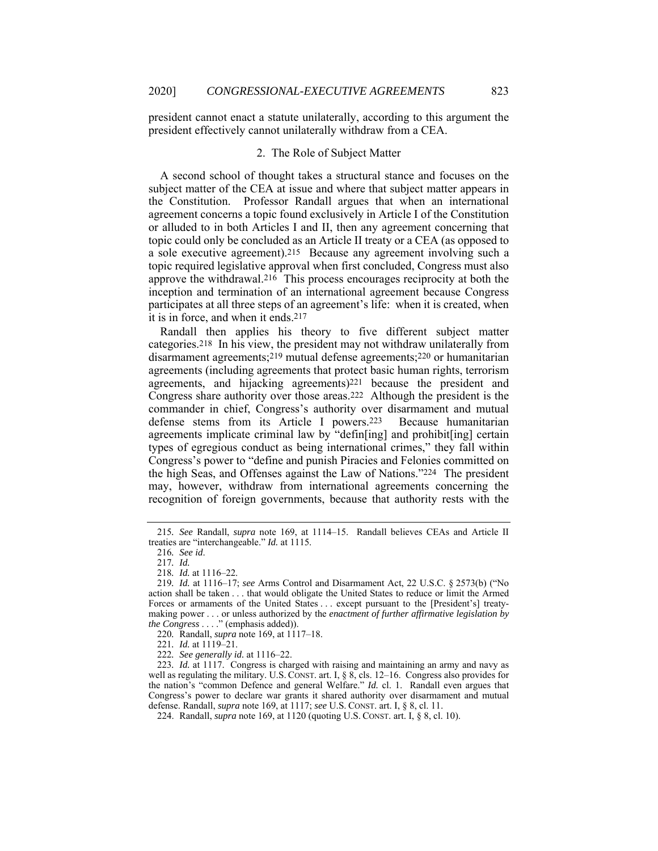president cannot enact a statute unilaterally, according to this argument the president effectively cannot unilaterally withdraw from a CEA.

# 2. The Role of Subject Matter

A second school of thought takes a structural stance and focuses on the subject matter of the CEA at issue and where that subject matter appears in the Constitution. Professor Randall argues that when an international agreement concerns a topic found exclusively in Article I of the Constitution or alluded to in both Articles I and II, then any agreement concerning that topic could only be concluded as an Article II treaty or a CEA (as opposed to a sole executive agreement).215 Because any agreement involving such a topic required legislative approval when first concluded, Congress must also approve the withdrawal.216 This process encourages reciprocity at both the inception and termination of an international agreement because Congress participates at all three steps of an agreement's life: when it is created, when it is in force, and when it ends.217

Randall then applies his theory to five different subject matter categories.218 In his view, the president may not withdraw unilaterally from disarmament agreements;219 mutual defense agreements;220 or humanitarian agreements (including agreements that protect basic human rights, terrorism agreements, and hijacking agreements)221 because the president and Congress share authority over those areas.222 Although the president is the commander in chief, Congress's authority over disarmament and mutual defense stems from its Article I powers.223 Because humanitarian agreements implicate criminal law by "defin[ing] and prohibit[ing] certain types of egregious conduct as being international crimes," they fall within Congress's power to "define and punish Piracies and Felonies committed on the high Seas, and Offenses against the Law of Nations."224 The president may, however, withdraw from international agreements concerning the recognition of foreign governments, because that authority rests with the

<sup>215</sup>*. See* Randall, *supra* note 169, at 1114–15. Randall believes CEAs and Article II treaties are "interchangeable." *Id.* at 1115.

<sup>216</sup>*. See id*.

<sup>217</sup>*. Id.*

<sup>218</sup>*. Id.* at 1116–22.

<sup>219</sup>*. Id.* at 1116–17; *see* Arms Control and Disarmament Act, 22 U.S.C. § 2573(b) ("No action shall be taken . . . that would obligate the United States to reduce or limit the Armed Forces or armaments of the United States . . . except pursuant to the [President's] treatymaking power . . . or unless authorized by the *enactment of further affirmative legislation by the Congress* . . . ." (emphasis added)).

<sup>220</sup>*.* Randall, *supra* note 169, at 1117–18.

<sup>221</sup>*. Id.* at 1119–21.

<sup>222</sup>*. See generally id.* at 1116–22.

<sup>223</sup>*. Id.* at 1117. Congress is charged with raising and maintaining an army and navy as well as regulating the military. U.S. CONST. art. I,  $\S$  8, cls. 12–16. Congress also provides for the nation's "common Defence and general Welfare." *Id.* cl. 1. Randall even argues that Congress's power to declare war grants it shared authority over disarmament and mutual defense. Randall, *supra* note 169, at 1117; *see* U.S. CONST. art. I, § 8, cl. 11.

 <sup>224.</sup> Randall, *supra* note 169, at 1120 (quoting U.S. CONST. art. I, § 8, cl. 10).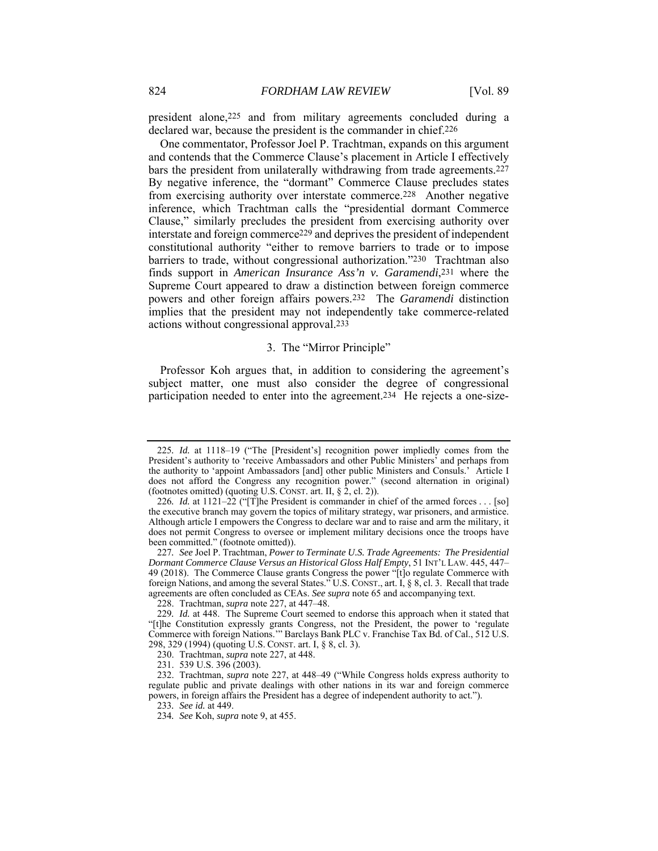president alone,225 and from military agreements concluded during a declared war, because the president is the commander in chief.226

One commentator, Professor Joel P. Trachtman, expands on this argument and contends that the Commerce Clause's placement in Article I effectively bars the president from unilaterally withdrawing from trade agreements.227 By negative inference, the "dormant" Commerce Clause precludes states from exercising authority over interstate commerce.228 Another negative inference, which Trachtman calls the "presidential dormant Commerce Clause," similarly precludes the president from exercising authority over interstate and foreign commerce229 and deprives the president of independent constitutional authority "either to remove barriers to trade or to impose barriers to trade, without congressional authorization."230 Trachtman also finds support in *American Insurance Ass'n v. Garamendi*,231 where the Supreme Court appeared to draw a distinction between foreign commerce powers and other foreign affairs powers.232 The *Garamendi* distinction implies that the president may not independently take commerce-related actions without congressional approval.233

## 3. The "Mirror Principle"

Professor Koh argues that, in addition to considering the agreement's subject matter, one must also consider the degree of congressional participation needed to enter into the agreement.<sup>234</sup> He rejects a one-size-

<sup>225</sup>*. Id.* at 1118–19 ("The [President's] recognition power impliedly comes from the President's authority to 'receive Ambassadors and other Public Ministers' and perhaps from the authority to 'appoint Ambassadors [and] other public Ministers and Consuls.' Article I does not afford the Congress any recognition power." (second alternation in original) (footnotes omitted) (quoting U.S. CONST. art. II,  $\S$  2, cl. 2)).

<sup>226</sup>*. Id.* at 1121–22 ("[T]he President is commander in chief of the armed forces . . . [so] the executive branch may govern the topics of military strategy, war prisoners, and armistice. Although article I empowers the Congress to declare war and to raise and arm the military, it does not permit Congress to oversee or implement military decisions once the troops have been committed." (footnote omitted)).

<sup>227</sup>*. See* Joel P. Trachtman, *Power to Terminate U.S. Trade Agreements: The Presidential Dormant Commerce Clause Versus an Historical Gloss Half Empty*, 51 INT'L LAW. 445, 447– 49 (2018). The Commerce Clause grants Congress the power "[t]o regulate Commerce with foreign Nations, and among the several States." U.S. CONST., art. I, § 8, cl. 3. Recall that trade agreements are often concluded as CEAs. *See supra* note 65 and accompanying text.

 <sup>228.</sup> Trachtman, *supra* note 227, at 447–48.

<sup>229</sup>*. Id.* at 448. The Supreme Court seemed to endorse this approach when it stated that "[t]he Constitution expressly grants Congress, not the President, the power to 'regulate Commerce with foreign Nations.'" Barclays Bank PLC v. Franchise Tax Bd. of Cal., 512 U.S. 298, 329 (1994) (quoting U.S. CONST. art. I, § 8, cl. 3).

 <sup>230.</sup> Trachtman, *supra* note 227, at 448.

 <sup>231. 539</sup> U.S. 396 (2003).

 <sup>232.</sup> Trachtman, *supra* note 227, at 448–49 ("While Congress holds express authority to regulate public and private dealings with other nations in its war and foreign commerce powers, in foreign affairs the President has a degree of independent authority to act.").

<sup>233</sup>*. See id.* at 449.

<sup>234</sup>*. See* Koh, *supra* note 9, at 455.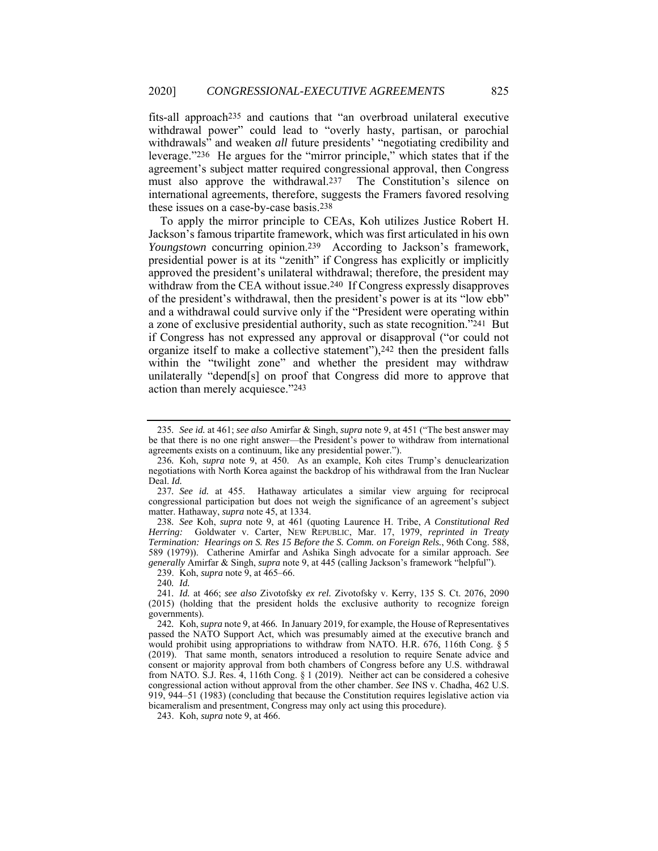fits-all approach235 and cautions that "an overbroad unilateral executive withdrawal power" could lead to "overly hasty, partisan, or parochial withdrawals<sup>"</sup> and weaken *all* future presidents' "negotiating credibility and leverage."236 He argues for the "mirror principle," which states that if the agreement's subject matter required congressional approval, then Congress must also approve the withdrawal.237 The Constitution's silence on international agreements, therefore, suggests the Framers favored resolving these issues on a case-by-case basis.238

To apply the mirror principle to CEAs, Koh utilizes Justice Robert H. Jackson's famous tripartite framework, which was first articulated in his own *Youngstown* concurring opinion.239 According to Jackson's framework, presidential power is at its "zenith" if Congress has explicitly or implicitly approved the president's unilateral withdrawal; therefore, the president may withdraw from the CEA without issue.<sup>240</sup> If Congress expressly disapproves of the president's withdrawal, then the president's power is at its "low ebb" and a withdrawal could survive only if the "President were operating within a zone of exclusive presidential authority, such as state recognition."241 But if Congress has not expressed any approval or disapproval ("or could not organize itself to make a collective statement"),242 then the president falls within the "twilight zone" and whether the president may withdraw unilaterally "depend[s] on proof that Congress did more to approve that action than merely acquiesce."243

238*. See* Koh, *supra* note 9, at 461 (quoting Laurence H. Tribe, *A Constitutional Red Herring:* Goldwater v. Carter, NEW REPUBLIC, Mar. 17, 1979, *reprinted in Treaty Termination: Hearings on S. Res 15 Before the S. Comm. on Foreign Rels.*, 96th Cong. 588, 589 (1979)). Catherine Amirfar and Ashika Singh advocate for a similar approach. *See generally* Amirfar & Singh, *supra* note 9, at 445 (calling Jackson's framework "helpful").

239. Koh, *supra* note 9, at 465–66.

243. Koh, *supra* note 9, at 466.

<sup>235</sup>*. See id.* at 461; *see also* Amirfar & Singh, *supra* note 9, at 451 ("The best answer may be that there is no one right answer—the President's power to withdraw from international agreements exists on a continuum, like any presidential power.").

<sup>236</sup>*.* Koh, *supra* note 9, at 450. As an example, Koh cites Trump's denuclearization negotiations with North Korea against the backdrop of his withdrawal from the Iran Nuclear Deal. *Id.*

<sup>237</sup>*. See id.* at 455. Hathaway articulates a similar view arguing for reciprocal congressional participation but does not weigh the significance of an agreement's subject matter. Hathaway, *supra* note 45, at 1334.

<sup>240</sup>*. Id.*

<sup>241</sup>*. Id.* at 466; *see also* Zivotofsky *ex rel.* Zivotofsky v. Kerry, 135 S. Ct. 2076, 2090 (2015) (holding that the president holds the exclusive authority to recognize foreign governments).

<sup>242</sup>*.* Koh, *supra* note 9, at 466*.* In January 2019, for example, the House of Representatives passed the NATO Support Act, which was presumably aimed at the executive branch and would prohibit using appropriations to withdraw from NATO. H.R. 676, 116th Cong. § 5 (2019). That same month, senators introduced a resolution to require Senate advice and consent or majority approval from both chambers of Congress before any U.S. withdrawal from NATO. S.J. Res. 4, 116th Cong. § 1 (2019). Neither act can be considered a cohesive congressional action without approval from the other chamber. *See* INS v. Chadha, 462 U.S. 919, 944–51 (1983) (concluding that because the Constitution requires legislative action via bicameralism and presentment, Congress may only act using this procedure).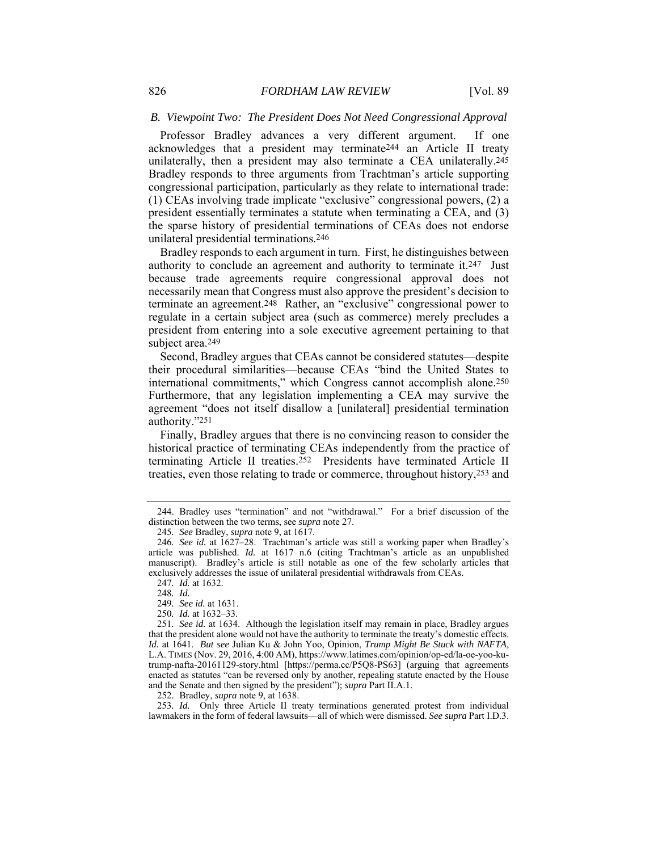# *B. Viewpoint Two: The President Does Not Need Congressional Approval*

Professor Bradley advances a very different argument. If one acknowledges that a president may terminate244 an Article II treaty unilaterally, then a president may also terminate a CEA unilaterally.245 Bradley responds to three arguments from Trachtman's article supporting congressional participation, particularly as they relate to international trade: (1) CEAs involving trade implicate "exclusive" congressional powers, (2) a president essentially terminates a statute when terminating a CEA, and (3) the sparse history of presidential terminations of CEAs does not endorse unilateral presidential terminations.246

Bradley responds to each argument in turn. First, he distinguishes between authority to conclude an agreement and authority to terminate it.247 Just because trade agreements require congressional approval does not necessarily mean that Congress must also approve the president's decision to terminate an agreement.248 Rather, an "exclusive" congressional power to regulate in a certain subject area (such as commerce) merely precludes a president from entering into a sole executive agreement pertaining to that subject area.<sup>249</sup>

Second, Bradley argues that CEAs cannot be considered statutes—despite their procedural similarities—because CEAs "bind the United States to international commitments," which Congress cannot accomplish alone.250 Furthermore, that any legislation implementing a CEA may survive the agreement "does not itself disallow a [unilateral] presidential termination authority."251

Finally, Bradley argues that there is no convincing reason to consider the historical practice of terminating CEAs independently from the practice of terminating Article II treaties.<sup>252</sup> Presidents have terminated Article II treaties, even those relating to trade or commerce, throughout history,253 and

252. Bradley, *supra* note 9, at 1638.

253*. Id.* Only three Article II treaty terminations generated protest from individual lawmakers in the form of federal lawsuits—all of which were dismissed. *See supra* Part I.D.3.

 <sup>244.</sup> Bradley uses "termination" and not "withdrawal." For a brief discussion of the distinction between the two terms, see *supra* note 27.

<sup>245</sup>*. See* Bradley, *supra* note 9, at 1617.

<sup>246</sup>*. See id.* at 1627–28. Trachtman's article was still a working paper when Bradley's article was published. *Id.* at 1617 n.6 (citing Trachtman's article as an unpublished manuscript). Bradley's article is still notable as one of the few scholarly articles that exclusively addresses the issue of unilateral presidential withdrawals from CEAs.

<sup>247</sup>*. Id.* at 1632.

<sup>248</sup>*. Id.*

<sup>249</sup>*. See id.* at 1631.

<sup>250</sup>*. Id.* at 1632–33.

<sup>251</sup>*. See id.* at 1634. Although the legislation itself may remain in place, Bradley argues that the president alone would not have the authority to terminate the treaty's domestic effects. *Id.* at 1641. *But see* Julian Ku & John Yoo, Opinion, *Trump Might Be Stuck with NAFTA*, L.A. TIMES (Nov. 29, 2016, 4:00 AM), https://www.latimes.com/opinion/op-ed/la-oe-yoo-kutrump-nafta-20161129-story.html [https://perma.cc/P5Q8-PS63] (arguing that agreements enacted as statutes "can be reversed only by another, repealing statute enacted by the House and the Senate and then signed by the president"); *supra* Part II.A.1.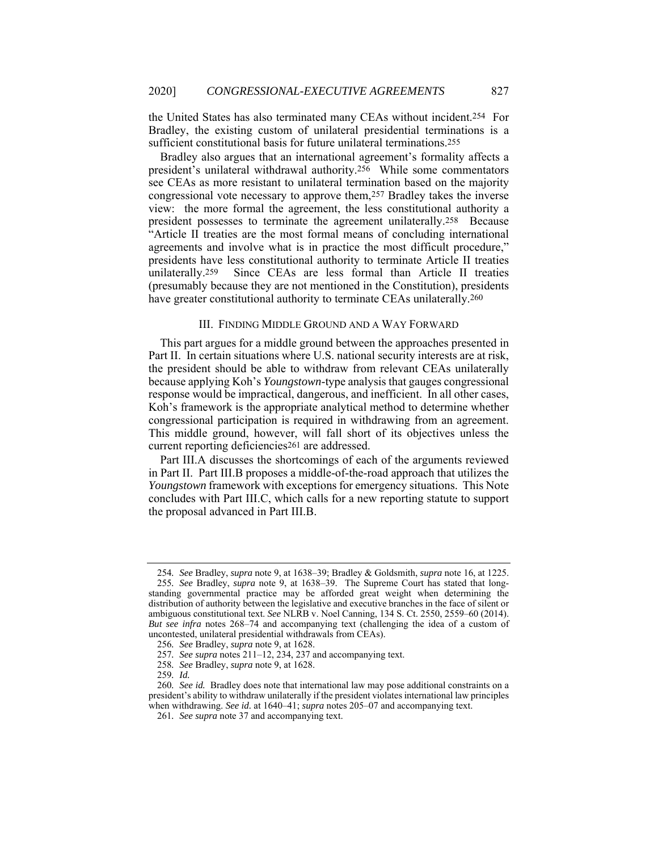the United States has also terminated many CEAs without incident.254 For Bradley, the existing custom of unilateral presidential terminations is a sufficient constitutional basis for future unilateral terminations.255

Bradley also argues that an international agreement's formality affects a president's unilateral withdrawal authority.256 While some commentators see CEAs as more resistant to unilateral termination based on the majority congressional vote necessary to approve them,257 Bradley takes the inverse view: the more formal the agreement, the less constitutional authority a president possesses to terminate the agreement unilaterally.258 Because "Article II treaties are the most formal means of concluding international agreements and involve what is in practice the most difficult procedure," presidents have less constitutional authority to terminate Article II treaties unilaterally.259 Since CEAs are less formal than Article II treaties (presumably because they are not mentioned in the Constitution), presidents have greater constitutional authority to terminate CEAs unilaterally.260

# III. FINDING MIDDLE GROUND AND A WAY FORWARD

This part argues for a middle ground between the approaches presented in Part II. In certain situations where U.S. national security interests are at risk, the president should be able to withdraw from relevant CEAs unilaterally because applying Koh's *Youngstown*-type analysis that gauges congressional response would be impractical, dangerous, and inefficient. In all other cases, Koh's framework is the appropriate analytical method to determine whether congressional participation is required in withdrawing from an agreement. This middle ground, however, will fall short of its objectives unless the current reporting deficiencies261 are addressed.

Part III.A discusses the shortcomings of each of the arguments reviewed in Part II. Part III.B proposes a middle-of-the-road approach that utilizes the *Youngstown* framework with exceptions for emergency situations. This Note concludes with Part III.C, which calls for a new reporting statute to support the proposal advanced in Part III.B.

<sup>254</sup>*. See* Bradley, *supra* note 9, at 1638–39; Bradley & Goldsmith, *supra* note 16, at 1225.

<sup>255</sup>*. See* Bradley, *supra* note 9, at 1638–39. The Supreme Court has stated that longstanding governmental practice may be afforded great weight when determining the distribution of authority between the legislative and executive branches in the face of silent or ambiguous constitutional text. *See* NLRB v. Noel Canning, 134 S. Ct. 2550, 2559–60 (2014). *But see infra* notes 268–74 and accompanying text (challenging the idea of a custom of uncontested, unilateral presidential withdrawals from CEAs).

<sup>256</sup>*. See* Bradley, *supra* note 9, at 1628.

<sup>257</sup>*. See supra* notes 211–12, 234, 237 and accompanying text.

<sup>258</sup>*. See* Bradley, *supra* note 9, at 1628.

<sup>259</sup>*. Id.*

<sup>260</sup>*. See id.* Bradley does note that international law may pose additional constraints on a president's ability to withdraw unilaterally if the president violates international law principles when withdrawing. *See id.* at 1640–41; *supra* notes 205–07 and accompanying text.

<sup>261</sup>*. See supra* note 37 and accompanying text.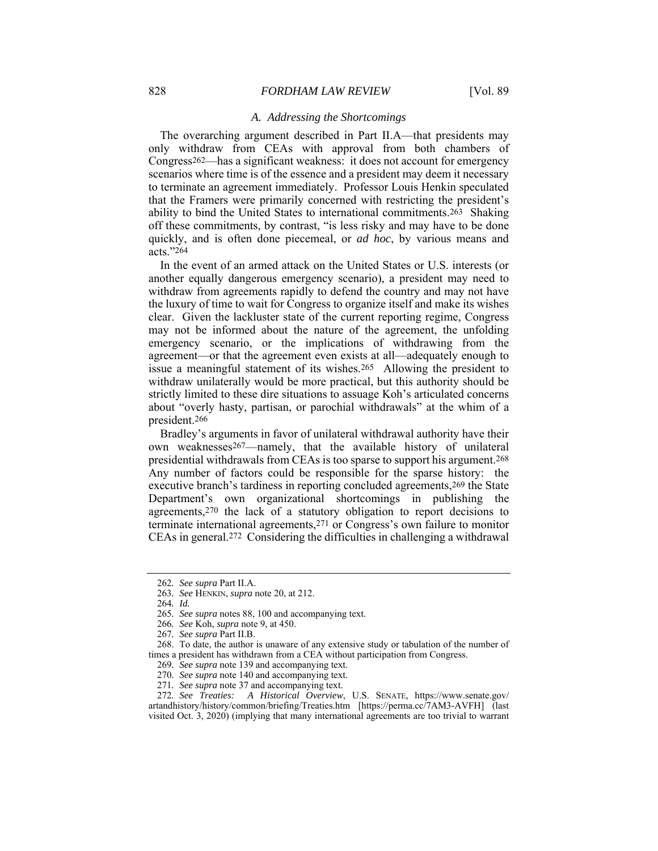# *A. Addressing the Shortcomings*

The overarching argument described in Part II.A—that presidents may only withdraw from CEAs with approval from both chambers of Congress262—has a significant weakness: it does not account for emergency scenarios where time is of the essence and a president may deem it necessary to terminate an agreement immediately. Professor Louis Henkin speculated that the Framers were primarily concerned with restricting the president's ability to bind the United States to international commitments.263 Shaking off these commitments, by contrast, "is less risky and may have to be done quickly, and is often done piecemeal, or *ad hoc*, by various means and acts."264

In the event of an armed attack on the United States or U.S. interests (or another equally dangerous emergency scenario), a president may need to withdraw from agreements rapidly to defend the country and may not have the luxury of time to wait for Congress to organize itself and make its wishes clear. Given the lackluster state of the current reporting regime, Congress may not be informed about the nature of the agreement, the unfolding emergency scenario, or the implications of withdrawing from the agreement—or that the agreement even exists at all—adequately enough to issue a meaningful statement of its wishes.265 Allowing the president to withdraw unilaterally would be more practical, but this authority should be strictly limited to these dire situations to assuage Koh's articulated concerns about "overly hasty, partisan, or parochial withdrawals" at the whim of a president.266

Bradley's arguments in favor of unilateral withdrawal authority have their own weaknesses267—namely, that the available history of unilateral presidential withdrawals from CEAs is too sparse to support his argument.268 Any number of factors could be responsible for the sparse history: the executive branch's tardiness in reporting concluded agreements,269 the State Department's own organizational shortcomings in publishing the agreements,270 the lack of a statutory obligation to report decisions to terminate international agreements,271 or Congress's own failure to monitor CEAs in general.272 Considering the difficulties in challenging a withdrawal

<sup>262</sup>*. See supra* Part II.A.

<sup>263</sup>*. See* HENKIN, *supra* note 20, at 212.

<sup>264</sup>*. Id.*

<sup>265</sup>*. See supra* notes 88, 100 and accompanying text.

<sup>266</sup>*. See* Koh, *supra* note 9, at 450.

<sup>267</sup>*. See supra* Part II.B.

 <sup>268.</sup> To date, the author is unaware of any extensive study or tabulation of the number of times a president has withdrawn from a CEA without participation from Congress.

<sup>269</sup>*. See supra* note 139 and accompanying text.

<sup>270</sup>*. See supra* note 140 and accompanying text.

<sup>271</sup>*. See supra* note 37 and accompanying text.

<sup>272</sup>*. See Treaties: A Historical Overview*, U.S. SENATE, https://www.senate.gov/ artandhistory/history/common/briefing/Treaties.htm [https://perma.cc/7AM3-AVFH] (last visited Oct. 3, 2020) (implying that many international agreements are too trivial to warrant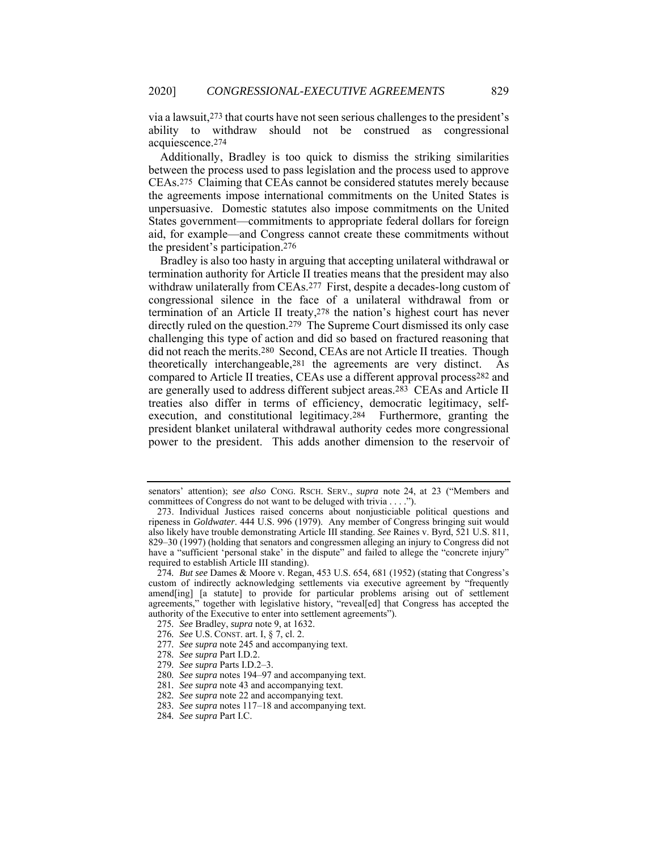via a lawsuit,273 that courts have not seen serious challenges to the president's ability to withdraw should not be construed as congressional acquiescence.274

Additionally, Bradley is too quick to dismiss the striking similarities between the process used to pass legislation and the process used to approve CEAs.275 Claiming that CEAs cannot be considered statutes merely because the agreements impose international commitments on the United States is unpersuasive. Domestic statutes also impose commitments on the United States government—commitments to appropriate federal dollars for foreign aid, for example—and Congress cannot create these commitments without the president's participation.276

Bradley is also too hasty in arguing that accepting unilateral withdrawal or termination authority for Article II treaties means that the president may also withdraw unilaterally from CEAs.<sup>277</sup> First, despite a decades-long custom of congressional silence in the face of a unilateral withdrawal from or termination of an Article II treaty,278 the nation's highest court has never directly ruled on the question.279 The Supreme Court dismissed its only case challenging this type of action and did so based on fractured reasoning that did not reach the merits.280 Second, CEAs are not Article II treaties. Though theoretically interchangeable,281 the agreements are very distinct. As compared to Article II treaties, CEAs use a different approval process282 and are generally used to address different subject areas.283 CEAs and Article II treaties also differ in terms of efficiency, democratic legitimacy, selfexecution, and constitutional legitimacy.<sup>284</sup> Furthermore, granting the president blanket unilateral withdrawal authority cedes more congressional power to the president. This adds another dimension to the reservoir of

- 281*. See supra* note 43 and accompanying text.
- 282*. See supra* note 22 and accompanying text.
- 283*. See supra* notes 117–18 and accompanying text.
- 284*. See supra* Part I.C.

senators' attention); *see also* CONG. RSCH. SERV., *supra* note 24, at 23 ("Members and committees of Congress do not want to be deluged with trivia . . . .").

 <sup>273.</sup> Individual Justices raised concerns about nonjusticiable political questions and ripeness in *Goldwater*. 444 U.S. 996 (1979). Any member of Congress bringing suit would also likely have trouble demonstrating Article III standing. *See* Raines v. Byrd, 521 U.S. 811, 829–30 (1997) (holding that senators and congressmen alleging an injury to Congress did not have a "sufficient 'personal stake' in the dispute" and failed to allege the "concrete injury" required to establish Article III standing).

<sup>274</sup>*. But see* Dames & Moore v. Regan, 453 U.S. 654, 681 (1952) (stating that Congress's custom of indirectly acknowledging settlements via executive agreement by "frequently amend[ing] [a statute] to provide for particular problems arising out of settlement agreements," together with legislative history, "reveal[ed] that Congress has accepted the authority of the Executive to enter into settlement agreements").

<sup>275</sup>*. See* Bradley, *supra* note 9, at 1632.

<sup>276</sup>*. See* U.S. CONST. art. I, § 7, cl. 2.

<sup>277</sup>*. See supra* note 245 and accompanying text.

<sup>278</sup>*. See supra* Part I.D.2.

<sup>279</sup>*. See supra* Parts I.D.2–3.

<sup>280</sup>*. See supra* notes 194–97 and accompanying text.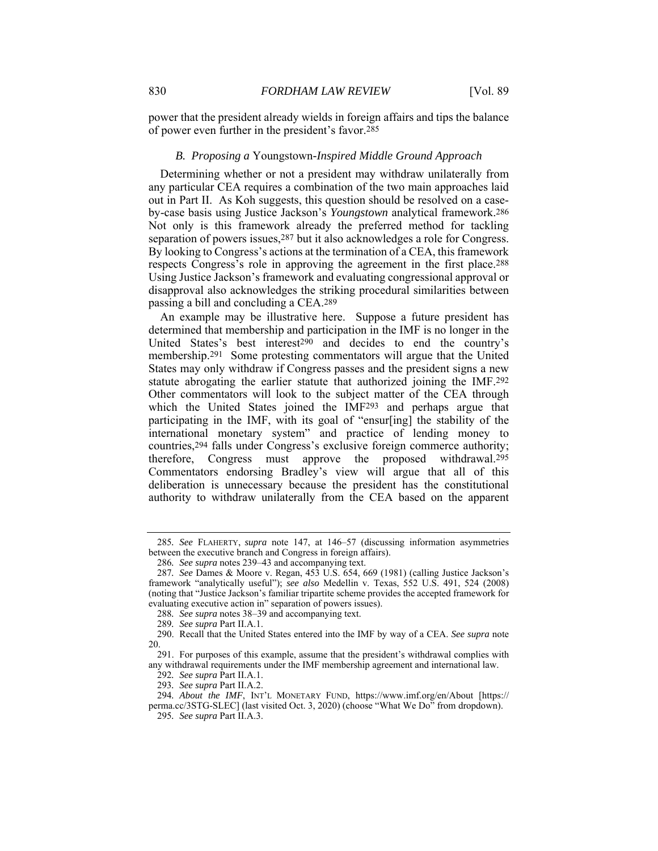power that the president already wields in foreign affairs and tips the balance of power even further in the president's favor.285

#### *B. Proposing a* Youngstown*-Inspired Middle Ground Approach*

Determining whether or not a president may withdraw unilaterally from any particular CEA requires a combination of the two main approaches laid out in Part II. As Koh suggests, this question should be resolved on a caseby-case basis using Justice Jackson's *Youngstown* analytical framework.286 Not only is this framework already the preferred method for tackling separation of powers issues,287 but it also acknowledges a role for Congress. By looking to Congress's actions at the termination of a CEA, this framework respects Congress's role in approving the agreement in the first place.288 Using Justice Jackson's framework and evaluating congressional approval or disapproval also acknowledges the striking procedural similarities between passing a bill and concluding a CEA.289

An example may be illustrative here. Suppose a future president has determined that membership and participation in the IMF is no longer in the United States's best interest290 and decides to end the country's membership.291 Some protesting commentators will argue that the United States may only withdraw if Congress passes and the president signs a new statute abrogating the earlier statute that authorized joining the IMF.292 Other commentators will look to the subject matter of the CEA through which the United States joined the IMF293 and perhaps argue that participating in the IMF, with its goal of "ensur[ing] the stability of the international monetary system" and practice of lending money to countries,294 falls under Congress's exclusive foreign commerce authority; therefore, Congress must approve the proposed withdrawal.295 Commentators endorsing Bradley's view will argue that all of this deliberation is unnecessary because the president has the constitutional authority to withdraw unilaterally from the CEA based on the apparent

<sup>285</sup>*. See* FLAHERTY, *supra* note 147, at 146–57 (discussing information asymmetries between the executive branch and Congress in foreign affairs).

<sup>286</sup>*. See supra* notes 239–43 and accompanying text.

<sup>287</sup>*. See* Dames & Moore v. Regan, 453 U.S. 654, 669 (1981) (calling Justice Jackson's framework "analytically useful"); *see also* Medellin v. Texas, 552 U.S. 491, 524 (2008) (noting that "Justice Jackson's familiar tripartite scheme provides the accepted framework for evaluating executive action in" separation of powers issues).

<sup>288</sup>*. See supra* notes 38–39 and accompanying text.

<sup>289</sup>*. See supra* Part II.A.1.

 <sup>290.</sup> Recall that the United States entered into the IMF by way of a CEA. *See supra* note 20.

 <sup>291.</sup> For purposes of this example, assume that the president's withdrawal complies with any withdrawal requirements under the IMF membership agreement and international law.

<sup>292</sup>*. See supra* Part II.A.1.

<sup>293</sup>*. See supra* Part II.A.2.

<sup>294</sup>*. About the IMF*, INT'L MONETARY FUND, https://www.imf.org/en/About [https:// perma.cc/3STG-SLEC] (last visited Oct. 3, 2020) (choose "What We Do" from dropdown).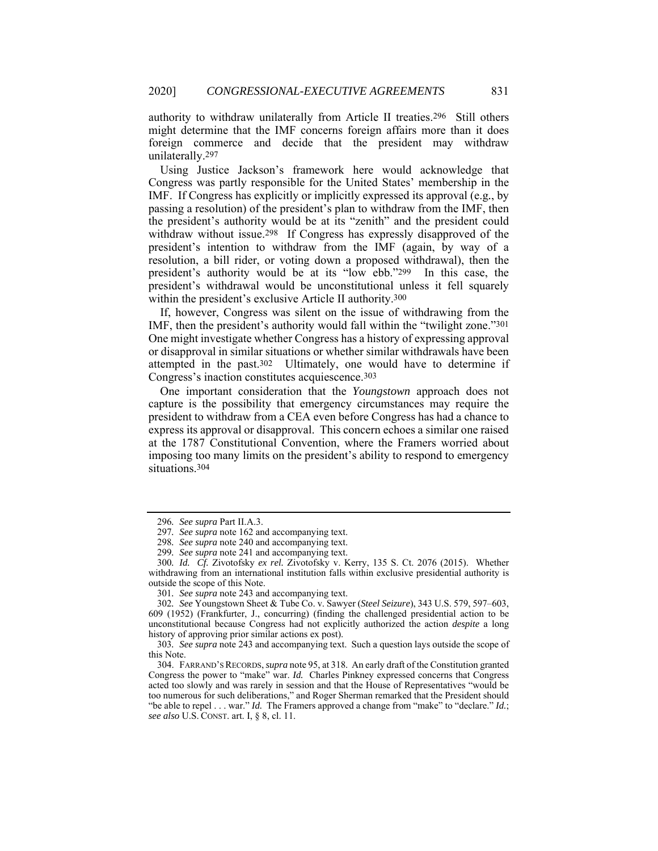authority to withdraw unilaterally from Article II treaties.296 Still others might determine that the IMF concerns foreign affairs more than it does foreign commerce and decide that the president may withdraw unilaterally.297

Using Justice Jackson's framework here would acknowledge that Congress was partly responsible for the United States' membership in the IMF. If Congress has explicitly or implicitly expressed its approval (e.g*.*, by passing a resolution) of the president's plan to withdraw from the IMF, then the president's authority would be at its "zenith" and the president could withdraw without issue.298 If Congress has expressly disapproved of the president's intention to withdraw from the IMF (again, by way of a resolution, a bill rider, or voting down a proposed withdrawal), then the president's authority would be at its "low ebb."299 In this case, the president's withdrawal would be unconstitutional unless it fell squarely within the president's exclusive Article II authority.300

If, however, Congress was silent on the issue of withdrawing from the IMF, then the president's authority would fall within the "twilight zone."301 One might investigate whether Congress has a history of expressing approval or disapproval in similar situations or whether similar withdrawals have been attempted in the past.302 Ultimately, one would have to determine if Congress's inaction constitutes acquiescence.303

One important consideration that the *Youngstown* approach does not capture is the possibility that emergency circumstances may require the president to withdraw from a CEA even before Congress has had a chance to express its approval or disapproval. This concern echoes a similar one raised at the 1787 Constitutional Convention, where the Framers worried about imposing too many limits on the president's ability to respond to emergency situations.304

301*. See supra* note 243 and accompanying text.

<sup>296</sup>*. See supra* Part II.A.3.

<sup>297</sup>*. See supra* note 162 and accompanying text.

<sup>298</sup>*. See supra* note 240 and accompanying text.

<sup>299</sup>*. See supra* note 241 and accompanying text.

<sup>300</sup>*. Id. Cf.* Zivotofsky *ex rel.* Zivotofsky v. Kerry, 135 S. Ct. 2076 (2015). Whether withdrawing from an international institution falls within exclusive presidential authority is outside the scope of this Note.

<sup>302</sup>*. See* Youngstown Sheet & Tube Co. v. Sawyer (*Steel Seizure*), 343 U.S. 579, 597–603, 609 (1952) (Frankfurter, J., concurring) (finding the challenged presidential action to be unconstitutional because Congress had not explicitly authorized the action *despite* a long history of approving prior similar actions ex post).

<sup>303</sup>*. See supra* note 243 and accompanying text. Such a question lays outside the scope of this Note.

 <sup>304.</sup> FARRAND'S RECORDS, *supra* note 95, at 318. An early draft of the Constitution granted Congress the power to "make" war. *Id.* Charles Pinkney expressed concerns that Congress acted too slowly and was rarely in session and that the House of Representatives "would be too numerous for such deliberations," and Roger Sherman remarked that the President should "be able to repel . . . war." *Id.* The Framers approved a change from "make" to "declare." *Id.*; *see also* U.S. CONST. art. I, § 8, cl. 11.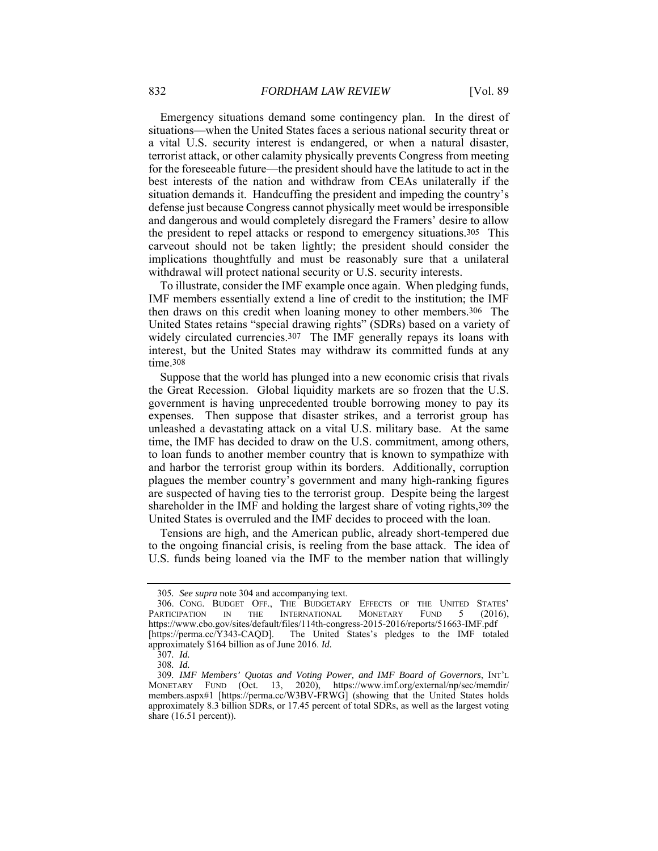Emergency situations demand some contingency plan. In the direst of situations—when the United States faces a serious national security threat or a vital U.S. security interest is endangered, or when a natural disaster, terrorist attack, or other calamity physically prevents Congress from meeting for the foreseeable future—the president should have the latitude to act in the best interests of the nation and withdraw from CEAs unilaterally if the situation demands it. Handcuffing the president and impeding the country's defense just because Congress cannot physically meet would be irresponsible and dangerous and would completely disregard the Framers' desire to allow the president to repel attacks or respond to emergency situations.305 This carveout should not be taken lightly; the president should consider the implications thoughtfully and must be reasonably sure that a unilateral withdrawal will protect national security or U.S. security interests.

To illustrate, consider the IMF example once again. When pledging funds, IMF members essentially extend a line of credit to the institution; the IMF then draws on this credit when loaning money to other members.306 The United States retains "special drawing rights" (SDRs) based on a variety of widely circulated currencies.<sup>307</sup> The IMF generally repays its loans with interest, but the United States may withdraw its committed funds at any time.308

Suppose that the world has plunged into a new economic crisis that rivals the Great Recession. Global liquidity markets are so frozen that the U.S. government is having unprecedented trouble borrowing money to pay its expenses. Then suppose that disaster strikes, and a terrorist group has unleashed a devastating attack on a vital U.S. military base. At the same time, the IMF has decided to draw on the U.S. commitment, among others, to loan funds to another member country that is known to sympathize with and harbor the terrorist group within its borders. Additionally, corruption plagues the member country's government and many high-ranking figures are suspected of having ties to the terrorist group. Despite being the largest shareholder in the IMF and holding the largest share of voting rights, 309 the United States is overruled and the IMF decides to proceed with the loan.

Tensions are high, and the American public, already short-tempered due to the ongoing financial crisis, is reeling from the base attack. The idea of U.S. funds being loaned via the IMF to the member nation that willingly

<sup>305</sup>*. See supra* note 304 and accompanying text.

 <sup>306.</sup> CONG. BUDGET OFF., THE BUDGETARY EFFECTS OF THE UNITED STATES' PARTICIPATION IN THE INTERNATIONAL MONETARY FUND 5 (2016), https://www.cbo.gov/sites/default/files/114th-congress-2015-2016/reports/51663-IMF.pdf [https://perma.cc/Y343-CAQD]. The United States's pledges to the IMF totaled approximately \$164 billion as of June 2016. *Id.*

<sup>307</sup>*. Id.*

<sup>308</sup>*. Id.*

<sup>309</sup>*. IMF Members' Quotas and Voting Power, and IMF Board of Governors*, INT'L MONETARY FUND (Oct. 13, 2020), https://www.imf.org/external/np/sec/memdir/ members.aspx#1 [https://perma.cc/W3BV-FRWG] (showing that the United States holds approximately 8.3 billion SDRs, or 17.45 percent of total SDRs, as well as the largest voting share  $(16.51$  percent)).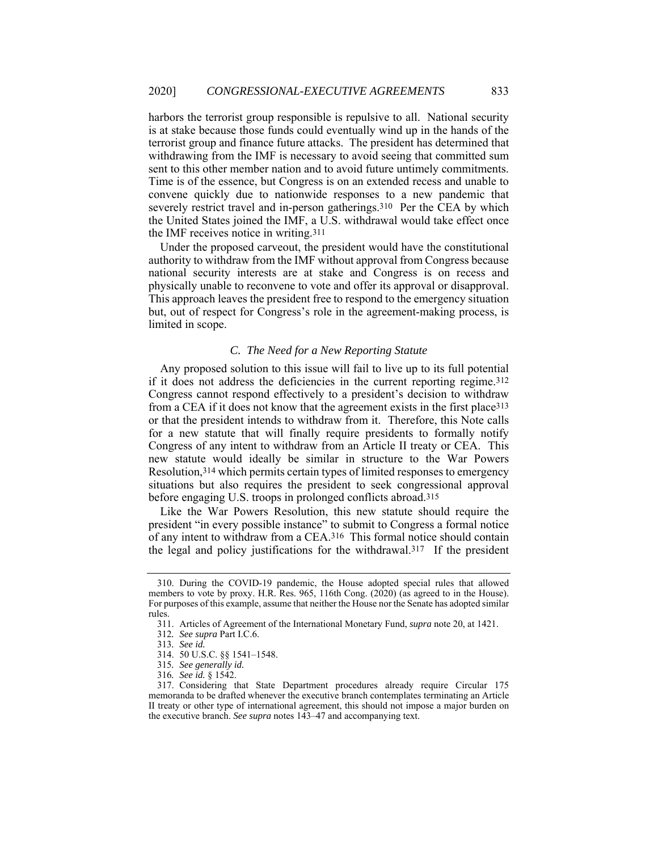harbors the terrorist group responsible is repulsive to all. National security is at stake because those funds could eventually wind up in the hands of the terrorist group and finance future attacks. The president has determined that withdrawing from the IMF is necessary to avoid seeing that committed sum sent to this other member nation and to avoid future untimely commitments. Time is of the essence, but Congress is on an extended recess and unable to convene quickly due to nationwide responses to a new pandemic that severely restrict travel and in-person gatherings.310 Per the CEA by which the United States joined the IMF, a U.S. withdrawal would take effect once the IMF receives notice in writing.311

Under the proposed carveout, the president would have the constitutional authority to withdraw from the IMF without approval from Congress because national security interests are at stake and Congress is on recess and physically unable to reconvene to vote and offer its approval or disapproval. This approach leaves the president free to respond to the emergency situation but, out of respect for Congress's role in the agreement-making process, is limited in scope.

# *C. The Need for a New Reporting Statute*

Any proposed solution to this issue will fail to live up to its full potential if it does not address the deficiencies in the current reporting regime.312 Congress cannot respond effectively to a president's decision to withdraw from a CEA if it does not know that the agreement exists in the first place313 or that the president intends to withdraw from it. Therefore, this Note calls for a new statute that will finally require presidents to formally notify Congress of any intent to withdraw from an Article II treaty or CEA. This new statute would ideally be similar in structure to the War Powers Resolution,314 which permits certain types of limited responses to emergency situations but also requires the president to seek congressional approval before engaging U.S. troops in prolonged conflicts abroad.315

Like the War Powers Resolution, this new statute should require the president "in every possible instance" to submit to Congress a formal notice of any intent to withdraw from a CEA.316 This formal notice should contain the legal and policy justifications for the withdrawal.317 If the president

 <sup>310.</sup> During the COVID-19 pandemic, the House adopted special rules that allowed members to vote by proxy. H.R. Res. 965, 116th Cong. (2020) (as agreed to in the House). For purposes of this example, assume that neither the House nor the Senate has adopted similar rules.

 <sup>311.</sup> Articles of Agreement of the International Monetary Fund, *supra* note 20, at 1421.

<sup>312</sup>*. See supra* Part I.C.6.

<sup>313</sup>*. See id.*

 <sup>314. 50</sup> U.S.C. §§ 1541–1548.

<sup>315</sup>*. See generally id.*

<sup>316</sup>*. See id.* § 1542.

 <sup>317.</sup> Considering that State Department procedures already require Circular 175 memoranda to be drafted whenever the executive branch contemplates terminating an Article II treaty or other type of international agreement, this should not impose a major burden on the executive branch. *See supra* notes 143–47 and accompanying text.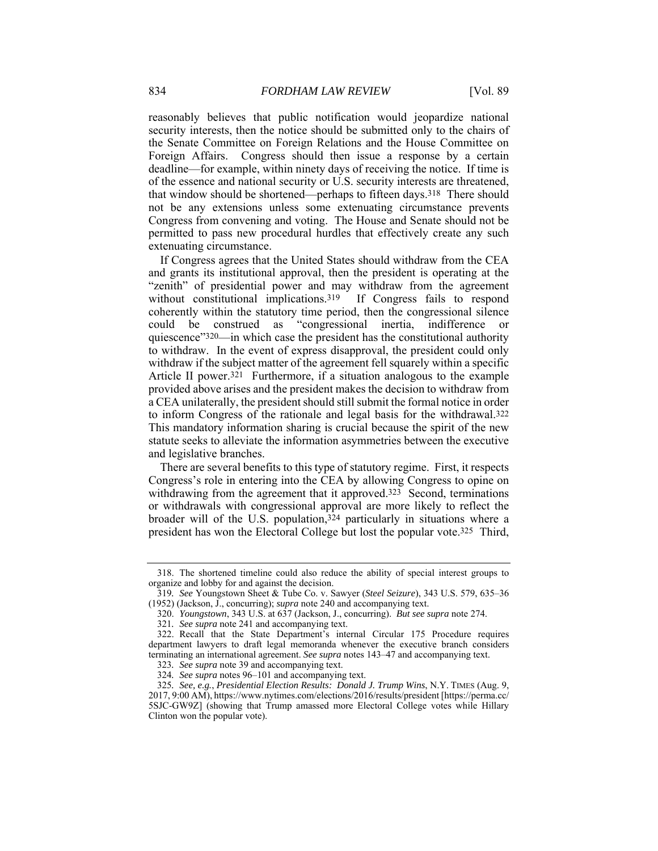reasonably believes that public notification would jeopardize national security interests, then the notice should be submitted only to the chairs of the Senate Committee on Foreign Relations and the House Committee on Foreign Affairs. Congress should then issue a response by a certain deadline—for example, within ninety days of receiving the notice. If time is of the essence and national security or U.S. security interests are threatened, that window should be shortened—perhaps to fifteen days.318 There should not be any extensions unless some extenuating circumstance prevents Congress from convening and voting. The House and Senate should not be permitted to pass new procedural hurdles that effectively create any such extenuating circumstance.

If Congress agrees that the United States should withdraw from the CEA and grants its institutional approval, then the president is operating at the "zenith" of presidential power and may withdraw from the agreement without constitutional implications.<sup>319</sup> If Congress fails to respond coherently within the statutory time period, then the congressional silence could be construed as "congressional inertia, indifference or quiescence"320—in which case the president has the constitutional authority to withdraw. In the event of express disapproval, the president could only withdraw if the subject matter of the agreement fell squarely within a specific Article II power.<sup>321</sup> Furthermore, if a situation analogous to the example provided above arises and the president makes the decision to withdraw from a CEA unilaterally, the president should still submit the formal notice in order to inform Congress of the rationale and legal basis for the withdrawal.322 This mandatory information sharing is crucial because the spirit of the new statute seeks to alleviate the information asymmetries between the executive and legislative branches.

There are several benefits to this type of statutory regime. First, it respects Congress's role in entering into the CEA by allowing Congress to opine on withdrawing from the agreement that it approved.<sup>323</sup> Second, terminations or withdrawals with congressional approval are more likely to reflect the broader will of the U.S. population,324 particularly in situations where a president has won the Electoral College but lost the popular vote.325 Third,

 <sup>318.</sup> The shortened timeline could also reduce the ability of special interest groups to organize and lobby for and against the decision.

<sup>319</sup>*. See* Youngstown Sheet & Tube Co. v. Sawyer (*Steel Seizure*), 343 U.S. 579, 635–36 (1952) (Jackson, J., concurring); *supra* note 240 and accompanying text.

 <sup>320.</sup> *Youngstown*, 343 U.S. at 637 (Jackson, J., concurring). *But see supra* note 274.

<sup>321</sup>*. See supra* note 241 and accompanying text.

 <sup>322.</sup> Recall that the State Department's internal Circular 175 Procedure requires department lawyers to draft legal memoranda whenever the executive branch considers terminating an international agreement. *See supra* notes 143–47 and accompanying text.

<sup>323</sup>*. See supra* note 39 and accompanying text.

<sup>324</sup>*. See supra* notes 96–101 and accompanying text.

<sup>325</sup>*. See, e.g.*, *Presidential Election Results: Donald J. Trump Wins*, N.Y. TIMES (Aug. 9, 2017, 9:00 AM), https://www.nytimes.com/elections/2016/results/president [https://perma.cc/ 5SJC-GW9Z] (showing that Trump amassed more Electoral College votes while Hillary Clinton won the popular vote).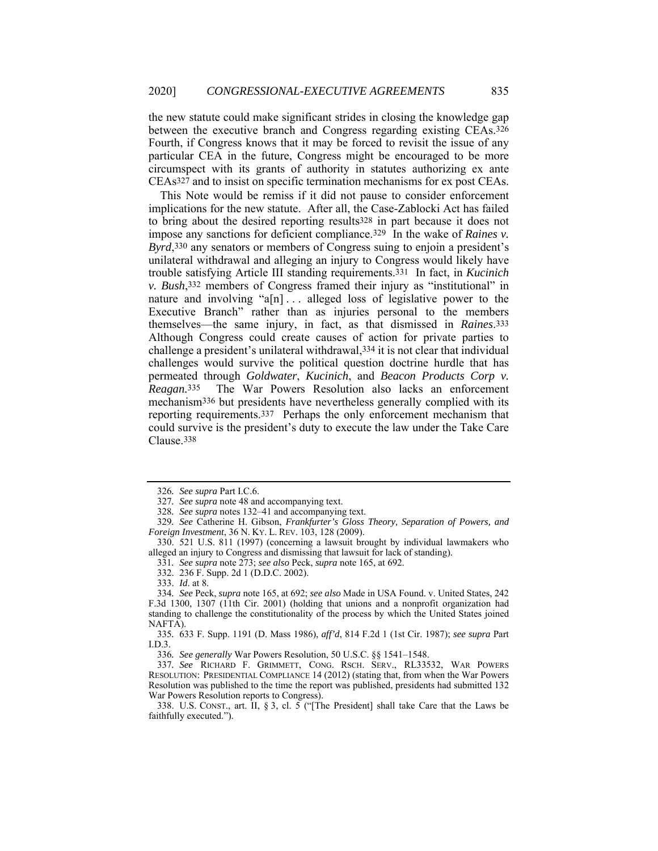the new statute could make significant strides in closing the knowledge gap between the executive branch and Congress regarding existing CEAs.326 Fourth, if Congress knows that it may be forced to revisit the issue of any particular CEA in the future, Congress might be encouraged to be more circumspect with its grants of authority in statutes authorizing ex ante CEAs327 and to insist on specific termination mechanisms for ex post CEAs.

This Note would be remiss if it did not pause to consider enforcement implications for the new statute. After all, the Case-Zablocki Act has failed to bring about the desired reporting results328 in part because it does not impose any sanctions for deficient compliance.329 In the wake of *Raines v. Byrd*,330 any senators or members of Congress suing to enjoin a president's unilateral withdrawal and alleging an injury to Congress would likely have trouble satisfying Article III standing requirements.331 In fact, in *Kucinich v. Bush*,332 members of Congress framed their injury as "institutional" in nature and involving " $a[n]$ ... alleged loss of legislative power to the Executive Branch" rather than as injuries personal to the members themselves—the same injury, in fact, as that dismissed in *Raines*.333 Although Congress could create causes of action for private parties to challenge a president's unilateral withdrawal,334 it is not clear that individual challenges would survive the political question doctrine hurdle that has permeated through *Goldwater*, *Kucinich*, and *Beacon Products Corp v. Reagan.*335 The War Powers Resolution also lacks an enforcement mechanism336 but presidents have nevertheless generally complied with its reporting requirements.337 Perhaps the only enforcement mechanism that could survive is the president's duty to execute the law under the Take Care Clause.338

332. 236 F. Supp. 2d 1 (D.D.C. 2002).

333. *Id*. at 8.

336*. See generally* War Powers Resolution, 50 U.S.C. §§ 1541–1548.

<sup>326</sup>*. See supra* Part I.C.6.

<sup>327</sup>*. See supra* note 48 and accompanying text.

<sup>328</sup>*. See supra* notes 132–41 and accompanying text.

<sup>329</sup>*. See* Catherine H. Gibson, *Frankfurter's Gloss Theory, Separation of Powers, and Foreign Investment*, 36 N. KY. L. REV. 103, 128 (2009).

 <sup>330. 521</sup> U.S. 811 (1997) (concerning a lawsuit brought by individual lawmakers who alleged an injury to Congress and dismissing that lawsuit for lack of standing).

<sup>331</sup>*. See supra* note 273; *see also* Peck, *supra* note 165, at 692.

<sup>334</sup>*. See* Peck, *supra* note 165, at 692; *see also* Made in USA Found. v. United States, 242 F.3d 1300, 1307 (11th Cir. 2001) (holding that unions and a nonprofit organization had standing to challenge the constitutionality of the process by which the United States joined NAFTA).

<sup>335</sup>*.* 633 F. Supp. 1191 (D. Mass 1986), *aff'd*, 814 F.2d 1 (1st Cir. 1987); *see supra* Part I.D.3.

<sup>337</sup>*. See* RICHARD F. GRIMMETT, CONG. RSCH. SERV., RL33532, WAR POWERS RESOLUTION: PRESIDENTIAL COMPLIANCE 14 (2012) (stating that, from when the War Powers Resolution was published to the time the report was published, presidents had submitted 132 War Powers Resolution reports to Congress).

 <sup>338.</sup> U.S. CONST., art. II, § 3, cl. 5 ("[The President] shall take Care that the Laws be faithfully executed.").